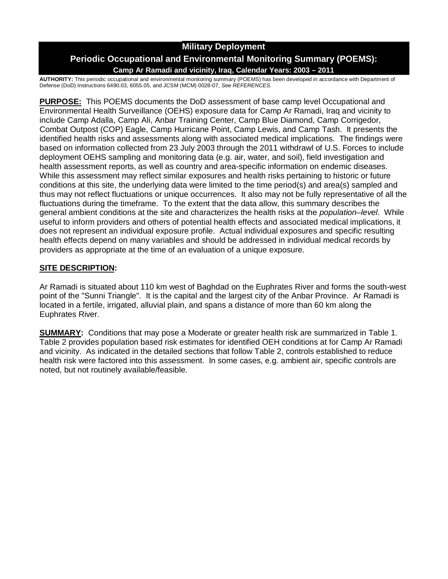# **Military Deployment**

# **Periodic Occupational and Environmental Monitoring Summary (POEMS): Camp Ar Ramadi and vicinity, Iraq, Calendar Years: 2003 – 2011**

**AUTHORITY:** This periodic occupational and environmental monitoring summary (POEMS) has been developed in accordance with Department of Defense (DoD) Instructions 6490.03, 6055.05, and JCSM (MCM) 0028-07, *See REFERENCES.*

**PURPOSE:** This POEMS documents the DoD assessment of base camp level Occupational and Environmental Health Surveillance (OEHS) exposure data for Camp Ar Ramadi, Iraq and vicinity to include Camp Adalla, Camp Ali, Anbar Training Center, Camp Blue Diamond, Camp Corrigedor, Combat Outpost (COP) Eagle, Camp Hurricane Point, Camp Lewis, and Camp Tash. It presents the identified health risks and assessments along with associated medical implications. The findings were based on information collected from 23 July 2003 through the 2011 withdrawl of U.S. Forces to include deployment OEHS sampling and monitoring data (e.g. air, water, and soil), field investigation and health assessment reports, as well as country and area-specific information on endemic diseases. While this assessment may reflect similar exposures and health risks pertaining to historic or future conditions at this site, the underlying data were limited to the time period(s) and area(s) sampled and thus may not reflect fluctuations or unique occurrences. It also may not be fully representative of all the fluctuations during the timeframe. To the extent that the data allow, this summary describes the general ambient conditions at the site and characterizes the health risks at the *population–level*. While useful to inform providers and others of potential health effects and associated medical implications, it does not represent an individual exposure profile. Actual individual exposures and specific resulting health effects depend on many variables and should be addressed in individual medical records by providers as appropriate at the time of an evaluation of a unique exposure.

### **SITE DESCRIPTION:**

Ar Ramadi is situated about 110 km west of Baghdad on the Euphrates River and forms the south-west point of the "Sunni Triangle". It is the capital and the largest city of the Anbar Province. Ar Ramadi is located in a fertile, irrigated, alluvial plain, and spans a distance of more than 60 km along the Euphrates River.

**SUMMARY:** Conditions that may pose a Moderate or greater health risk are summarized in Table 1. Table 2 provides population based risk estimates for identified OEH conditions at for Camp Ar Ramadi and vicinity. As indicated in the detailed sections that follow Table 2, controls established to reduce health risk were factored into this assessment. In some cases, e.g. ambient air, specific controls are noted, but not routinely available/feasible.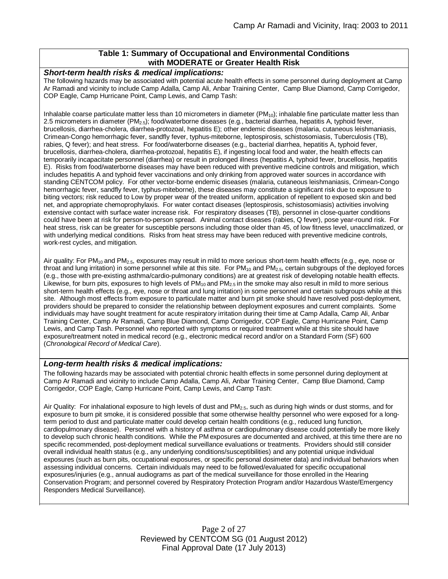#### **Table 1: Summary of Occupational and Environmental Conditions with MODERATE or Greater Health Risk**

#### *Short-term health risks & medical implications:*

The following hazards may be associated with potential acute health effects in some personnel during deployment at Camp Ar Ramadi and vicinity to include Camp Adalla, Camp Ali, Anbar Training Center, Camp Blue Diamond, Camp Corrigedor, COP Eagle, Camp Hurricane Point, Camp Lewis, and Camp Tash:

Inhalable coarse particulate matter less than 10 micrometers in diameter ( $PM_{10}$ ); inhalable fine particulate matter less than 2.5 micrometers in diameter (PM2.5); food/waterborne diseases (e.g., bacterial diarrhea, hepatitis A, typhoid fever, brucellosis, diarrhea-cholera, diarrhea-protozoal, hepatitis E); other endemic diseases (malaria, cutaneous leishmaniasis, Crimean-Congo hemorrhagic fever, sandfly fever, typhus-miteborne, leptospirosis, schistosomiasis, Tuberculosis (TB), rabies, Q fever); and heat stress. For food/waterborne diseases (e.g., bacterial diarrhea, hepatitis A, typhoid fever, brucellosis, diarrhea-cholera, diarrhea-protozoal, hepatitis E), if ingesting local food and water, the health effects can temporarily incapacitate personnel (diarrhea) or result in prolonged illness (hepatitis A, typhoid fever, brucellosis, hepatitis E). Risks from food/waterborne diseases may have been reduced with preventive medicine controls and mitigation, which includes hepatitis A and typhoid fever vaccinations and only drinking from approved water sources in accordance with standing CENTCOM policy. For other vector-borne endemic diseases (malaria, cutaneous leishmaniasis, Crimean-Congo hemorrhagic fever, sandfly fever, typhus-miteborne), these diseases may constitute a significant risk due to exposure to biting vectors; risk reduced to Low by proper wear of the treated uniform, application of repellent to exposed skin and bed net, and appropriate chemoprophylaxis. For water contact diseases (leptospirosis, schistosomiasis) activities involving extensive contact with surface water increase risk. For respiratory diseases (TB), personnel in close-quarter conditions could have been at risk for person-to-person spread. Animal contact diseases (rabies, Q fever), pose year-round risk. For heat stress, risk can be greater for susceptible persons including those older than 45, of low fitness level, unacclimatized, or with underlying medical conditions. Risks from heat stress may have been reduced with preventive medicine controls, work-rest cycles, and mitigation.

Air quality: For  $PM_{10}$  and  $PM_{2.5}$ , exposures may result in mild to more serious short-term health effects (e.g., eye, nose or throat and lung irritation) in some personnel while at this site. For  $PM_{10}$  and  $PM_{2.5}$ , certain subgroups of the deployed forces (e.g., those with pre-existing asthma/cardio-pulmonary conditions) are at greatest risk of developing notable health effects. Likewise, for burn pits, exposures to high levels of  $PM_{10}$  and  $PM_{2.5}$  in the smoke may also result in mild to more serious short-term health effects (e.g., eye, nose or throat and lung irritation) in some personnel and certain subgroups while at this site. Although most effects from exposure to particulate matter and burn pit smoke should have resolved post-deployment, providers should be prepared to consider the relationship between deployment exposures and current complaints. Some individuals may have sought treatment for acute respiratory irritation during their time at Camp Adalla, Camp Ali, Anbar Training Center, Camp Ar Ramadi, Camp Blue Diamond, Camp Corrigedor, COP Eagle, Camp Hurricane Point, Camp Lewis, and Camp Tash. Personnel who reported with symptoms or required treatment while at this site should have exposure/treatment noted in medical record (e.g., electronic medical record and/or on a Standard Form (SF) 600 (*Chronological Record of Medical Care*).

#### *Long-term health risks & medical implications:*

The following hazards may be associated with potential chronic health effects in some personnel during deployment at Camp Ar Ramadi and vicinity to include Camp Adalla, Camp Ali, Anbar Training Center, Camp Blue Diamond, Camp Corrigedor, COP Eagle, Camp Hurricane Point, Camp Lewis, and Camp Tash:

Air Quality: For inhalational exposure to high levels of dust and PM<sub>2.5</sub>, such as during high winds or dust storms, and for exposure to burn pit smoke, it is considered possible that some otherwise healthy personnel who were exposed for a longterm period to dust and particulate matter could develop certain health conditions (e.g., reduced lung function, cardiopulmonary disease). Personnel with a history of asthma or cardiopulmonary disease could potentially be more likely to develop such chronic health conditions. While the PM exposures are documented and archived, at this time there are no specific recommended, post-deployment medical surveillance evaluations or treatments. Providers should still consider overall individual health status (e.g., any underlying conditions/susceptibilities) and any potential unique individual exposures (such as burn pits, occupational exposures, or specific personal dosimeter data) and individual behaviors when assessing individual concerns. Certain individuals may need to be followed/evaluated for specific occupational exposures/injuries (e.g., annual audiograms as part of the medical surveillance for those enrolled in the Hearing Conservation Program; and personnel covered by Respiratory Protection Program and/or Hazardous Waste/Emergency Responders Medical Surveillance).

> Page 2 of 27 Reviewed by CENTCOM SG (01 August 2012) Final Approval Date (17 July 2013)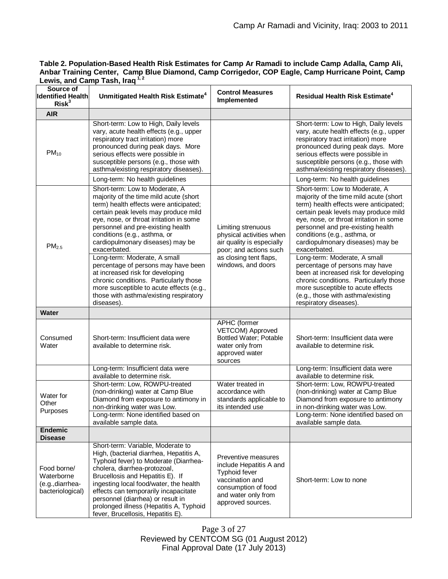| Table 2. Population-Based Health Risk Estimates for Camp Ar Ramadi to include Camp Adalla, Camp Ali, |
|------------------------------------------------------------------------------------------------------|
| Anbar Training Center, Camp Blue Diamond, Camp Corrigedor, COP Eagle, Camp Hurricane Point, Camp     |
| Lewis, and Camp Tash, Iraq $1,2$                                                                     |

| Source of<br><b>Identified Health</b><br>Risk <sup>3</sup>        | Unmitigated Health Risk Estimate <sup>4</sup>                                                                                                                                                                                                                                                                                                                                                                                                                                                                                                                                           | <b>Control Measures</b><br>Implemented                                                                                                                       | <b>Residual Health Risk Estimate<sup>4</sup></b>                                                                                                                                                                                                                                                                                                                                                                                                                                                                                                                                        |
|-------------------------------------------------------------------|-----------------------------------------------------------------------------------------------------------------------------------------------------------------------------------------------------------------------------------------------------------------------------------------------------------------------------------------------------------------------------------------------------------------------------------------------------------------------------------------------------------------------------------------------------------------------------------------|--------------------------------------------------------------------------------------------------------------------------------------------------------------|-----------------------------------------------------------------------------------------------------------------------------------------------------------------------------------------------------------------------------------------------------------------------------------------------------------------------------------------------------------------------------------------------------------------------------------------------------------------------------------------------------------------------------------------------------------------------------------------|
| <b>AIR</b>                                                        |                                                                                                                                                                                                                                                                                                                                                                                                                                                                                                                                                                                         |                                                                                                                                                              |                                                                                                                                                                                                                                                                                                                                                                                                                                                                                                                                                                                         |
| $PM_{10}$                                                         | Short-term: Low to High, Daily levels<br>vary, acute health effects (e.g., upper<br>respiratory tract irritation) more<br>pronounced during peak days. More<br>serious effects were possible in<br>susceptible persons (e.g., those with<br>asthma/existing respiratory diseases).<br>Long-term: No health guidelines                                                                                                                                                                                                                                                                   |                                                                                                                                                              | Short-term: Low to High, Daily levels<br>vary, acute health effects (e.g., upper<br>respiratory tract irritation) more<br>pronounced during peak days. More<br>serious effects were possible in<br>susceptible persons (e.g., those with<br>asthma/existing respiratory diseases).<br>Long-term: No health guidelines                                                                                                                                                                                                                                                                   |
| PM <sub>2.5</sub>                                                 | Short-term: Low to Moderate, A<br>majority of the time mild acute (short<br>term) health effects were anticipated;<br>certain peak levels may produce mild<br>eye, nose, or throat irritation in some<br>personnel and pre-existing health<br>conditions (e.g., asthma, or<br>cardiopulmonary diseases) may be<br>exacerbated.<br>Long-term: Moderate, A small<br>percentage of persons may have been<br>at increased risk for developing<br>chronic conditions. Particularly those<br>more susceptible to acute effects (e.g.,<br>those with asthma/existing respiratory<br>diseases). | Limiting strenuous<br>physical activities when<br>air quality is especially<br>poor; and actions such<br>as closing tent flaps,<br>windows, and doors        | Short-term: Low to Moderate, A<br>majority of the time mild acute (short<br>term) health effects were anticipated;<br>certain peak levels may produce mild<br>eye, nose, or throat irritation in some<br>personnel and pre-existing health<br>conditions (e.g., asthma, or<br>cardiopulmonary diseases) may be<br>exacerbated.<br>Long-term: Moderate, A small<br>percentage of persons may have<br>been at increased risk for developing<br>chronic conditions. Particularly those<br>more susceptible to acute effects<br>(e.g., those with asthma/existing<br>respiratory diseases). |
| <b>Water</b>                                                      |                                                                                                                                                                                                                                                                                                                                                                                                                                                                                                                                                                                         |                                                                                                                                                              |                                                                                                                                                                                                                                                                                                                                                                                                                                                                                                                                                                                         |
| Consumed<br>Water                                                 | Short-term: Insufficient data were<br>available to determine risk.                                                                                                                                                                                                                                                                                                                                                                                                                                                                                                                      | APHC (former<br>VETCOM) Approved<br><b>Bottled Water; Potable</b><br>water only from<br>approved water<br>sources                                            | Short-term: Insufficient data were<br>available to determine risk.                                                                                                                                                                                                                                                                                                                                                                                                                                                                                                                      |
|                                                                   | Long-term: Insufficient data were<br>available to determine risk.                                                                                                                                                                                                                                                                                                                                                                                                                                                                                                                       |                                                                                                                                                              | Long-term: Insufficient data were<br>available to determine risk.                                                                                                                                                                                                                                                                                                                                                                                                                                                                                                                       |
| Water for<br>Other<br>Purposes                                    | Short-term: Low, ROWPU-treated<br>(non-drinking) water at Camp Blue<br>Diamond from exposure to antimony in<br>non-drinking water was Low.<br>Long-term: None identified based on<br>available sample data.                                                                                                                                                                                                                                                                                                                                                                             | Water treated in<br>accordance with<br>standards applicable to<br>its intended use                                                                           | Short-term: Low, ROWPU-treated<br>(non-drinking) water at Camp Blue<br>Diamond from exposure to antimony<br>in non-drinking water was Low.<br>Long-term: None identified based on<br>available sample data.                                                                                                                                                                                                                                                                                                                                                                             |
| <b>Endemic</b><br><b>Disease</b>                                  |                                                                                                                                                                                                                                                                                                                                                                                                                                                                                                                                                                                         |                                                                                                                                                              |                                                                                                                                                                                                                                                                                                                                                                                                                                                                                                                                                                                         |
| Food borne/<br>Waterborne<br>(e.g., diarrhea-<br>bacteriological) | Short-term: Variable, Moderate to<br>High, (bacterial diarrhea, Hepatitis A,<br>Typhoid fever) to Moderate (Diarrhea-<br>cholera, diarrhea-protozoal,<br>Brucellosis and Hepatitis E). If<br>ingesting local food/water, the health<br>effects can temporarily incapacitate<br>personnel (diarrhea) or result in<br>prolonged illness (Hepatitis A, Typhoid<br>fever, Brucellosis, Hepatitis E).                                                                                                                                                                                        | Preventive measures<br>include Hepatitis A and<br><b>Typhoid fever</b><br>vaccination and<br>consumption of food<br>and water only from<br>approved sources. | Short-term: Low to none                                                                                                                                                                                                                                                                                                                                                                                                                                                                                                                                                                 |

Page 3 of 27 Reviewed by CENTCOM SG (01 August 2012) Final Approval Date (17 July 2013)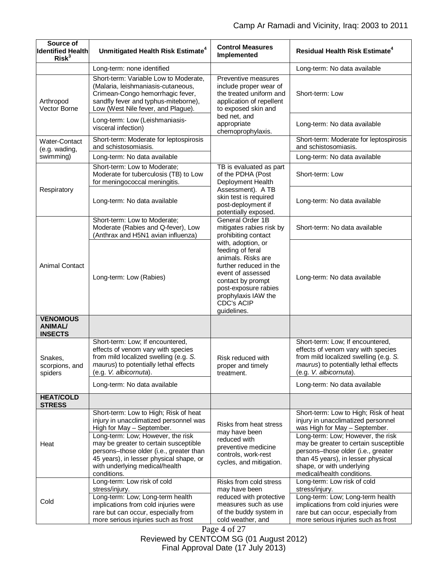| Source of<br><b>Identified Health</b><br>Risk <sup>3</sup> | Unmitigated Health Risk Estimate <sup>4</sup>                                                                                                                                                                                                                                                                                     | <b>Control Measures</b><br>Implemented                                                                                                                                                                                                                                                     | <b>Residual Health Risk Estimate<sup>4</sup></b>                                                                                                                                                                                                                                                                                  |
|------------------------------------------------------------|-----------------------------------------------------------------------------------------------------------------------------------------------------------------------------------------------------------------------------------------------------------------------------------------------------------------------------------|--------------------------------------------------------------------------------------------------------------------------------------------------------------------------------------------------------------------------------------------------------------------------------------------|-----------------------------------------------------------------------------------------------------------------------------------------------------------------------------------------------------------------------------------------------------------------------------------------------------------------------------------|
|                                                            | Long-term: none identified                                                                                                                                                                                                                                                                                                        |                                                                                                                                                                                                                                                                                            | Long-term: No data available                                                                                                                                                                                                                                                                                                      |
| Arthropod<br>Vector Borne                                  | Short-term: Variable Low to Moderate,<br>(Malaria, leishmaniasis-cutaneous,<br>Crimean-Congo hemorrhagic fever,<br>sandfly fever and typhus-miteborne),<br>Low (West Nile fever, and Plague).                                                                                                                                     | Preventive measures<br>include proper wear of<br>the treated uniform and<br>application of repellent<br>to exposed skin and<br>bed net, and<br>appropriate<br>chemoprophylaxis.                                                                                                            | Short-term: Low                                                                                                                                                                                                                                                                                                                   |
|                                                            | Long-term: Low (Leishmaniasis-<br>visceral infection)                                                                                                                                                                                                                                                                             |                                                                                                                                                                                                                                                                                            | Long-term: No data available                                                                                                                                                                                                                                                                                                      |
| Water-Contact<br>(e.g. wading,                             | Short-term: Moderate for leptospirosis<br>and schistosomiasis.                                                                                                                                                                                                                                                                    |                                                                                                                                                                                                                                                                                            | Short-term: Moderate for leptospirosis<br>and schistosomiasis.                                                                                                                                                                                                                                                                    |
| swimming)                                                  | Long-term: No data available                                                                                                                                                                                                                                                                                                      |                                                                                                                                                                                                                                                                                            | Long-term: No data available                                                                                                                                                                                                                                                                                                      |
| Respiratory                                                | Short-term: Low to Moderate;<br>Moderate for tuberculosis (TB) to Low<br>for meningococcal meningitis.                                                                                                                                                                                                                            | TB is evaluated as part<br>of the PDHA (Post<br>Deployment Health                                                                                                                                                                                                                          | Short-term: Low                                                                                                                                                                                                                                                                                                                   |
|                                                            | Long-term: No data available                                                                                                                                                                                                                                                                                                      | Assessment). A TB<br>skin test is required<br>post-deployment if<br>potentially exposed.                                                                                                                                                                                                   | Long-term: No data available                                                                                                                                                                                                                                                                                                      |
| <b>Animal Contact</b>                                      | Short-term: Low to Moderate;<br>Moderate (Rabies and Q-fever), Low<br>(Anthrax and H5N1 avian influenza)                                                                                                                                                                                                                          | General Order 1B<br>mitigates rabies risk by<br>prohibiting contact<br>with, adoption, or<br>feeding of feral<br>animals. Risks are<br>further reduced in the<br>event of assessed<br>contact by prompt<br>post-exposure rabies<br>prophylaxis IAW the<br><b>CDC's ACIP</b><br>guidelines. | Short-term: No data available                                                                                                                                                                                                                                                                                                     |
|                                                            | Long-term: Low (Rabies)                                                                                                                                                                                                                                                                                                           |                                                                                                                                                                                                                                                                                            | Long-term: No data available                                                                                                                                                                                                                                                                                                      |
| <b>VENOMOUS</b><br><b>ANIMAL/</b><br><b>INSECTS</b>        |                                                                                                                                                                                                                                                                                                                                   |                                                                                                                                                                                                                                                                                            |                                                                                                                                                                                                                                                                                                                                   |
| Snakes,<br>scorpions, and<br>spiders                       | Short-term: Low; If encountered,<br>effects of venom vary with species<br>from mild localized swelling (e.g. S.<br>maurus) to potentially lethal effects<br>(e.g. V. albicornuta).                                                                                                                                                | Risk reduced with<br>proper and timely<br>treatment.                                                                                                                                                                                                                                       | Short-term: Low; If encountered,<br>effects of venom vary with species<br>from mild localized swelling (e.g. S.<br>maurus) to potentially lethal effects<br>(e.g. V. albicornuta).                                                                                                                                                |
|                                                            | Long-term: No data available                                                                                                                                                                                                                                                                                                      |                                                                                                                                                                                                                                                                                            | Long-term: No data available                                                                                                                                                                                                                                                                                                      |
| <b>HEAT/COLD</b><br><b>STRESS</b>                          |                                                                                                                                                                                                                                                                                                                                   |                                                                                                                                                                                                                                                                                            |                                                                                                                                                                                                                                                                                                                                   |
| Heat                                                       | Short-term: Low to High; Risk of heat<br>injury in unacclimatized personnel was<br>High for May - September.<br>Long-term: Low; However, the risk<br>may be greater to certain susceptible<br>persons-those older (i.e., greater than<br>45 years), in lesser physical shape, or<br>with underlying medical/health<br>conditions. | Risks from heat stress<br>may have been<br>reduced with<br>preventive medicine<br>controls, work-rest<br>cycles, and mitigation.                                                                                                                                                           | Short-term: Low to High; Risk of heat<br>injury in unacclimatized personnel<br>was High for May - September.<br>Long-term: Low; However, the risk<br>may be greater to certain susceptible<br>persons-those older (i.e., greater<br>than 45 years), in lesser physical<br>shape, or with underlying<br>medical/health conditions. |
| Cold                                                       | Long-term: Low risk of cold<br>stress/injury.<br>Long-term: Low; Long-term health<br>implications from cold injuries were<br>rare but can occur, especially from<br>more serious injuries such as frost                                                                                                                           | Risks from cold stress<br>may have been<br>reduced with protective<br>measures such as use<br>of the buddy system in<br>cold weather, and                                                                                                                                                  | Long-term: Low risk of cold<br>stress/injury.<br>Long-term: Low; Long-term health<br>implications from cold injuries were<br>rare but can occur, especially from<br>more serious injuries such as frost                                                                                                                           |

Page 4 of 27 Reviewed by CENTCOM SG (01 August 2012) Final Approval Date (17 July 2013)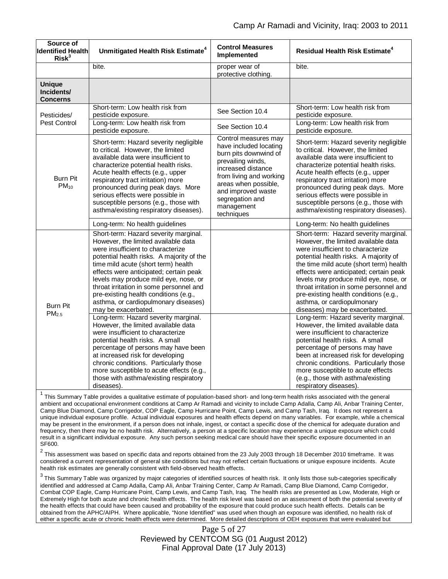| Source of<br><b>Identified Health</b><br>Risk <sup>3</sup> | Unmitigated Health Risk Estimate <sup>4</sup>                                                                                                                                                                                                                                                                                                                                                                                                                                                                                                                                                                                                                                 | <b>Control Measures</b><br>Implemented                                                                                                                                                                                                     | Residual Health Risk Estimate <sup>4</sup>                                                                                                                                                                                                                                                                                                                                                                                                                                                                                                                                                                                                                                    |
|------------------------------------------------------------|-------------------------------------------------------------------------------------------------------------------------------------------------------------------------------------------------------------------------------------------------------------------------------------------------------------------------------------------------------------------------------------------------------------------------------------------------------------------------------------------------------------------------------------------------------------------------------------------------------------------------------------------------------------------------------|--------------------------------------------------------------------------------------------------------------------------------------------------------------------------------------------------------------------------------------------|-------------------------------------------------------------------------------------------------------------------------------------------------------------------------------------------------------------------------------------------------------------------------------------------------------------------------------------------------------------------------------------------------------------------------------------------------------------------------------------------------------------------------------------------------------------------------------------------------------------------------------------------------------------------------------|
|                                                            | bite.                                                                                                                                                                                                                                                                                                                                                                                                                                                                                                                                                                                                                                                                         | proper wear of<br>protective clothing.                                                                                                                                                                                                     | bite.                                                                                                                                                                                                                                                                                                                                                                                                                                                                                                                                                                                                                                                                         |
| <b>Unique</b><br>Incidents/<br><b>Concerns</b>             |                                                                                                                                                                                                                                                                                                                                                                                                                                                                                                                                                                                                                                                                               |                                                                                                                                                                                                                                            |                                                                                                                                                                                                                                                                                                                                                                                                                                                                                                                                                                                                                                                                               |
| Pesticides/<br>Pest Control                                | Short-term: Low health risk from<br>pesticide exposure.<br>Long-term: Low health risk from<br>pesticide exposure.                                                                                                                                                                                                                                                                                                                                                                                                                                                                                                                                                             | See Section 10.4<br>See Section 10.4                                                                                                                                                                                                       | Short-term: Low health risk from<br>pesticide exposure.<br>Long-term: Low health risk from<br>pesticide exposure.                                                                                                                                                                                                                                                                                                                                                                                                                                                                                                                                                             |
| <b>Burn Pit</b><br>$PM_{10}$                               | Short-term: Hazard severity negligible<br>to critical. However, the limited<br>available data were insufficient to<br>characterize potential health risks.<br>Acute health effects (e.g., upper<br>respiratory tract irritation) more<br>pronounced during peak days. More<br>serious effects were possible in<br>susceptible persons (e.g., those with<br>asthma/existing respiratory diseases).                                                                                                                                                                                                                                                                             | Control measures may<br>have included locating<br>burn pits downwind of<br>prevailing winds,<br>increased distance<br>from living and working<br>areas when possible,<br>and improved waste<br>segregation and<br>management<br>techniques | Short-term: Hazard severity negligible<br>to critical. However, the limited<br>available data were insufficient to<br>characterize potential health risks.<br>Acute health effects (e.g., upper<br>respiratory tract irritation) more<br>pronounced during peak days. More<br>serious effects were possible in<br>susceptible persons (e.g., those with<br>asthma/existing respiratory diseases).                                                                                                                                                                                                                                                                             |
|                                                            | Long-term: No health guidelines                                                                                                                                                                                                                                                                                                                                                                                                                                                                                                                                                                                                                                               |                                                                                                                                                                                                                                            | Long-term: No health guidelines                                                                                                                                                                                                                                                                                                                                                                                                                                                                                                                                                                                                                                               |
| <b>Burn Pit</b><br>PM <sub>2.5</sub>                       | Short-term: Hazard severity marginal.<br>However, the limited available data<br>were insufficient to characterize<br>potential health risks. A majority of the<br>time mild acute (short term) health<br>effects were anticipated; certain peak<br>levels may produce mild eye, nose, or<br>throat irritation in some personnel and<br>pre-existing health conditions (e.g.,<br>asthma, or cardiopulmonary diseases)<br>may be exacerbated.<br>Long-term: Hazard severity marginal.<br>However, the limited available data<br>were insufficient to characterize<br>potential health risks. A small<br>percentage of persons may have been<br>at increased risk for developing |                                                                                                                                                                                                                                            | Short-term: Hazard severity marginal.<br>However, the limited available data<br>were insufficient to characterize<br>potential health risks. A majority of<br>the time mild acute (short term) health<br>effects were anticipated; certain peak<br>levels may produce mild eye, nose, or<br>throat irritation in some personnel and<br>pre-existing health conditions (e.g.,<br>asthma, or cardiopulmonary<br>diseases) may be exacerbated.<br>Long-term: Hazard severity marginal.<br>However, the limited available data<br>were insufficient to characterize<br>potential health risks. A small<br>percentage of persons may have<br>been at increased risk for developing |
|                                                            | chronic conditions. Particularly those<br>more susceptible to acute effects (e.g.,<br>those with asthma/existing respiratory<br>diseases).                                                                                                                                                                                                                                                                                                                                                                                                                                                                                                                                    |                                                                                                                                                                                                                                            | chronic conditions. Particularly those<br>more susceptible to acute effects<br>(e.g., those with asthma/existing<br>respiratory diseases).                                                                                                                                                                                                                                                                                                                                                                                                                                                                                                                                    |

<sup>1</sup> This Summary Table provides a qualitative estimate of population-based short- and long-term health risks associated with the general ambient and occupational environment conditions at Camp Ar Ramadi and vicinity to include Camp Adalla, Camp Ali, Anbar Training Center, Camp Blue Diamond, Camp Corrigedor, COP Eagle, Camp Hurricane Point, Camp Lewis, and Camp Tash, Iraq. It does not represent a unique individual exposure profile. Actual individual exposures and health effects depend on many variables. For example, while a chemical may be present in the environment, if a person does not inhale, ingest, or contact a specific dose of the chemical for adequate duration and frequency, then there may be no health risk. Alternatively, a person at a specific location may experience a unique exposure which could result in a significant individual exposure. Any such person seeking medical care should have their specific exposure documented in an SF600.

 $^2$  This assessment was based on specific data and reports obtained from the 23 July 2003 through 18 December 2010 timeframe. It was considered a current representation of general site conditions but may not reflect certain fluctuations or unique exposure incidents. Acute health risk estimates are generally consistent with field-observed health effects.

 $^3$  This Summary Table was organized by major categories of identified sources of health risk. It only lists those sub-categories specifically identified and addressed at Camp Adalla, Camp Ali, Anbar Training Center, Camp Ar Ramadi, Camp Blue Diamond, Camp Corrigedor, Combat COP Eagle, Camp Hurricane Point, Camp Lewis, and Camp Tash, Iraq. The health risks are presented as Low, Moderate, High or Extremely High for both acute and chronic health effects. The health risk level was based on an assessment of both the potential severity of the health effects that could have been caused and probability of the exposure that could produce such health effects. Details can be obtained from the APHC/AIPH. Where applicable, "None Identified" was used when though an exposure was identified, no health risk of either a specific acute or chronic health effects were determined. More detailed descriptions of OEH exposures that were evaluated but

> Page 5 of 27 Reviewed by CENTCOM SG (01 August 2012) Final Approval Date (17 July 2013)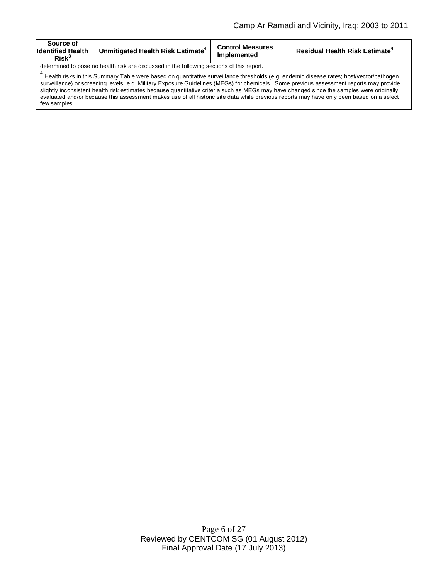| Source of<br><b>Identified Health</b><br>Risk <sup>3</sup>                                                                                           | Unmitigated Health Risk Estimate <sup>4</sup> | <b>Control Measures</b><br>Implemented | <b>Residual Health Risk Estimate<sup>4</sup></b> |  |
|------------------------------------------------------------------------------------------------------------------------------------------------------|-----------------------------------------------|----------------------------------------|--------------------------------------------------|--|
| determined to pose no health risk are discussed in the following sections of this report.                                                            |                                               |                                        |                                                  |  |
| <sup>t</sup> Health risks in this Summary Table were based on quantitative surveillance thresholds (e.g. endemic disease rates; host/vector/pathogen |                                               |                                        |                                                  |  |
| surveillance) or screening levels, e.g. Military Exposure Guidelines (MEGs) for chemicals. Some previous assessment reports may provide              |                                               |                                        |                                                  |  |
| slightly inconsistent health risk estimates because quantitative criteria such as MEGs may have changed since the samples were originally            |                                               |                                        |                                                  |  |
| evaluated and/or because this assessment makes use of all historic site data while previous reports may have only been based on a select             |                                               |                                        |                                                  |  |

few samples.

Page 6 of 27 Reviewed by CENTCOM SG (01 August 2012) Final Approval Date (17 July 2013)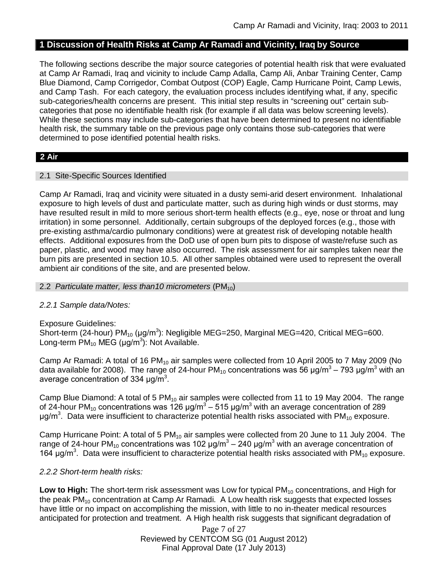## **1 Discussion of Health Risks at Camp Ar Ramadi and Vicinity, Iraq by Source**

The following sections describe the major source categories of potential health risk that were evaluated at Camp Ar Ramadi, Iraq and vicinity to include Camp Adalla, Camp Ali, Anbar Training Center, Camp Blue Diamond, Camp Corrigedor, Combat Outpost (COP) Eagle, Camp Hurricane Point, Camp Lewis, and Camp Tash. For each category, the evaluation process includes identifying what, if any, specific sub-categories/health concerns are present. This initial step results in "screening out" certain subcategories that pose no identifiable health risk (for example if all data was below screening levels). While these sections may include sub-categories that have been determined to present no identifiable health risk, the summary table on the previous page only contains those sub-categories that were determined to pose identified potential health risks.

### **2 Air**

#### 2.1 Site-Specific Sources Identified

Camp Ar Ramadi, Iraq and vicinity were situated in a dusty semi-arid desert environment. Inhalational exposure to high levels of dust and particulate matter, such as during high winds or dust storms, may have resulted result in mild to more serious short-term health effects (e.g., eye, nose or throat and lung irritation) in some personnel. Additionally, certain subgroups of the deployed forces (e.g., those with pre-existing asthma/cardio pulmonary conditions) were at greatest risk of developing notable health effects. Additional exposures from the DoD use of open burn pits to dispose of waste/refuse such as paper, plastic, and wood may have also occurred. The risk assessment for air samples taken near the burn pits are presented in section 10.5. All other samples obtained were used to represent the overall ambient air conditions of the site, and are presented below.

#### 2.2 *Particulate matter, less than10 micrometers* (PM<sub>10</sub>)

### *2.2.1 Sample data/Notes:*

Exposure Guidelines: Short-term (24-hour) PM<sub>10</sub> (µg/m<sup>3</sup>): Negligible MEG=250, Marginal MEG=420, Critical MEG=600. Long-term  $PM_{10}$  MEG (µg/m<sup>3</sup>): Not Available.

Camp Ar Ramadi: A total of 16  $PM_{10}$  air samples were collected from 10 April 2005 to 7 May 2009 (No data available for 2008). The range of 24-hour PM<sub>10</sub> concentrations was 56 μg/m<sup>3</sup> – 793 μg/m<sup>3</sup> with an average concentration of 334  $\mu$ g/m<sup>3</sup>.

Camp Blue Diamond: A total of 5  $PM_{10}$  air samples were collected from 11 to 19 May 2004. The range of 24-hour PM<sub>10</sub> concentrations was 126 μg/m<sup>3</sup> – 515 μg/m<sup>3</sup> with an average concentration of 289 μg/m<sup>3</sup>. Data were insufficient to characterize potential health risks associated with PM<sub>10</sub> exposure.

Camp Hurricane Point: A total of 5  $PM_{10}$  air samples were collected from 20 June to 11 July 2004. The range of 24-hour PM<sub>10</sub> concentrations was 102 μg/m<sup>3</sup> – 240 μg/m<sup>3</sup> with an average concentration of 164  $\mu$ g/m<sup>3</sup>. Data were insufficient to characterize potential health risks associated with PM<sub>10</sub> exposure.

### *2.2.2 Short-term health risks:*

Low to High: The short-term risk assessment was Low for typical PM<sub>10</sub> concentrations, and High for the peak  $PM_{10}$  concentration at Camp Ar Ramadi. A Low health risk suggests that expected losses have little or no impact on accomplishing the mission, with little to no in-theater medical resources anticipated for protection and treatment. A High health risk suggests that significant degradation of

> Page 7 of 27 Reviewed by CENTCOM SG (01 August 2012) Final Approval Date (17 July 2013)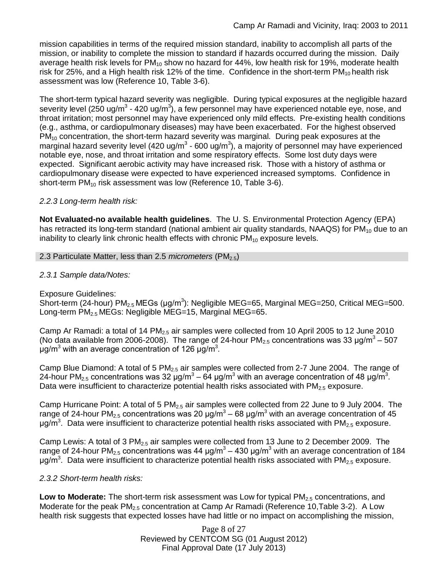mission capabilities in terms of the required mission standard, inability to accomplish all parts of the mission, or inability to complete the mission to standard if hazards occurred during the mission. Daily average health risk levels for  $PM_{10}$  show no hazard for 44%, low health risk for 19%, moderate health risk for 25%, and a High health risk 12% of the time. Confidence in the short-term  $PM_{10}$  health risk assessment was low (Reference 10, Table 3-6).

The short-term typical hazard severity was negligible. During typical exposures at the negligible hazard severity level (250 ug/m<sup>3</sup> - 420 ug/m<sup>3</sup>), a few personnel may have experienced notable eye, nose, and throat irritation; most personnel may have experienced only mild effects. Pre-existing health conditions (e.g., asthma, or cardiopulmonary diseases) may have been exacerbated. For the highest observed  $PM_{10}$  concentration, the short-term hazard severity was marginal. During peak exposures at the marginal hazard severity level (420 ug/m<sup>3</sup> - 600 ug/m<sup>3</sup>), a majority of personnel may have experienced notable eye, nose, and throat irritation and some respiratory effects. Some lost duty days were expected. Significant aerobic activity may have increased risk. Those with a history of asthma or cardiopulmonary disease were expected to have experienced increased symptoms. Confidence in short-term  $PM_{10}$  risk assessment was low (Reference 10, Table 3-6).

### *2.2.3 Long-term health risk:*

**Not Evaluated-no available health guidelines**. The U. S. Environmental Protection Agency (EPA) has retracted its long-term standard (national ambient air quality standards, NAAQS) for  $PM_{10}$  due to an inability to clearly link chronic health effects with chronic  $PM_{10}$  exposure levels.

#### 2.3 Particulate Matter, less than 2.5 *micrometers* (PM<sub>2.5</sub>)

#### *2.3.1 Sample data/Notes:*

Exposure Guidelines:

Short-term (24-hour) PM<sub>2.5</sub> MEGs (μg/m<sup>3</sup>): Negligible MEG=65, Marginal MEG=250, Critical MEG=500. Long-term PM<sub>2.5</sub> MEGs: Negligible MEG=15, Marginal MEG=65.

Camp Ar Ramadi: a total of 14 PM<sub>2.5</sub> air samples were collected from 10 April 2005 to 12 June 2010 (No data available from 2006-2008). The range of 24-hour PM<sub>2.5</sub> concentrations was 33  $\mu$ g/m<sup>3</sup> – 507 μg/m<sup>3</sup> with an average concentration of 126 μg/m<sup>3</sup>.

Camp Blue Diamond: A total of 5  $PM<sub>2.5</sub>$  air samples were collected from 2-7 June 2004. The range of 24-hour PM<sub>2.5</sub> concentrations was 32 μg/m<sup>3</sup> – 64 μg/m<sup>3</sup> with an average concentration of 48 μg/m<sup>3</sup>. Data were insufficient to characterize potential health risks associated with  $PM<sub>2.5</sub>$  exposure.

Camp Hurricane Point: A total of 5 PM $_{25}$  air samples were collected from 22 June to 9 July 2004. The range of 24-hour PM<sub>2.5</sub> concentrations was 20 μg/m<sup>3</sup> – 68 μg/m<sup>3</sup> with an average concentration of 45 μg/m<sup>3</sup>. Data were insufficient to characterize potential health risks associated with PM<sub>2.5</sub> exposure.

Camp Lewis: A total of  $3 PM<sub>2.5</sub>$  air samples were collected from 13 June to 2 December 2009. The range of 24-hour PM<sub>2.5</sub> concentrations was 44 μg/m<sup>3</sup> – 430 μg/m<sup>3</sup> with an average concentration of 184 μg/m<sup>3</sup>. Data were insufficient to characterize potential health risks associated with PM<sub>2.5</sub> exposure.

#### *2.3.2 Short-term health risks:*

Low to Moderate: The short-term risk assessment was Low for typical PM<sub>2.5</sub> concentrations, and Moderate for the peak  $PM_{2.5}$  concentration at Camp Ar Ramadi (Reference 10, Table 3-2). A Low health risk suggests that expected losses have had little or no impact on accomplishing the mission,

> Page 8 of 27 Reviewed by CENTCOM SG (01 August 2012) Final Approval Date (17 July 2013)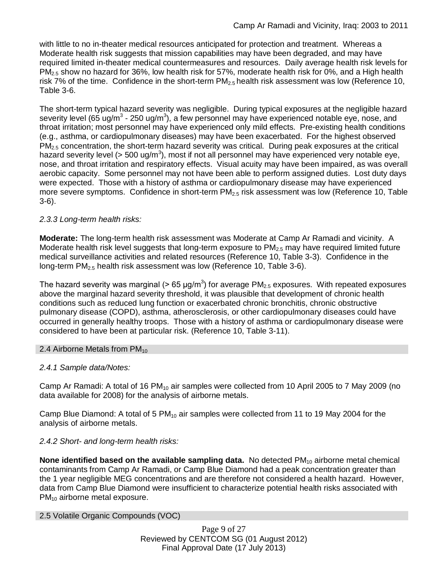with little to no in-theater medical resources anticipated for protection and treatment. Whereas a Moderate health risk suggests that mission capabilities may have been degraded, and may have required limited in-theater medical countermeasures and resources. Daily average health risk levels for PM<sub>2.5</sub> show no hazard for 36%, low health risk for 57%, moderate health risk for 0%, and a High health risk 7% of the time. Confidence in the short-term  $PM_{2.5}$  health risk assessment was low (Reference 10, Table 3-6.

The short-term typical hazard severity was negligible. During typical exposures at the negligible hazard severity level (65 ug/m<sup>3</sup> - 250 ug/m<sup>3</sup>), a few personnel may have experienced notable eye, nose, and throat irritation; most personnel may have experienced only mild effects. Pre-existing health conditions (e.g., asthma, or cardiopulmonary diseases) may have been exacerbated. For the highest observed  $PM<sub>2.5</sub>$  concentration, the short-term hazard severity was critical. During peak exposures at the critical hazard severity level (> 500 ug/m<sup>3</sup>), most if not all personnel may have experienced very notable eye, nose, and throat irritation and respiratory effects. Visual acuity may have been impaired, as was overall aerobic capacity. Some personnel may not have been able to perform assigned duties. Lost duty days were expected. Those with a history of asthma or cardiopulmonary disease may have experienced more severe symptoms. Confidence in short-term  $PM_{2.5}$  risk assessment was low (Reference 10, Table 3-6).

# *2.3.3 Long-term health risks:*

**Moderate:** The long-term health risk assessment was Moderate at Camp Ar Ramadi and vicinity. A Moderate health risk level suggests that long-term exposure to  $PM_{2.5}$  may have required limited future medical surveillance activities and related resources (Reference 10, Table 3-3). Confidence in the long-term  $PM<sub>2.5</sub>$  health risk assessment was low (Reference 10, Table 3-6).

The hazard severity was marginal (> 65  $\mu$ g/m<sup>3</sup>) for average PM<sub>2.5</sub> exposures. With repeated exposures above the marginal hazard severity threshold, it was plausible that development of chronic health conditions such as reduced lung function or exacerbated chronic bronchitis, chronic obstructive pulmonary disease (COPD), asthma, atherosclerosis, or other cardiopulmonary diseases could have occurred in generally healthy troops. Those with a history of asthma or cardiopulmonary disease were considered to have been at particular risk. (Reference 10, Table 3-11).

# 2.4 Airborne Metals from  $PM_{10}$

# *2.4.1 Sample data/Notes:*

Camp Ar Ramadi: A total of 16 PM<sub>10</sub> air samples were collected from 10 April 2005 to 7 May 2009 (no data available for 2008) for the analysis of airborne metals.

Camp Blue Diamond: A total of 5  $PM_{10}$  air samples were collected from 11 to 19 May 2004 for the analysis of airborne metals.

# *2.4.2 Short- and long-term health risks:*

**None identified based on the available sampling data.** No detected PM<sub>10</sub> airborne metal chemical contaminants from Camp Ar Ramadi, or Camp Blue Diamond had a peak concentration greater than the 1 year negligible MEG concentrations and are therefore not considered a health hazard. However, data from Camp Blue Diamond were insufficient to characterize potential health risks associated with  $PM_{10}$  airborne metal exposure.

### 2.5 Volatile Organic Compounds (VOC)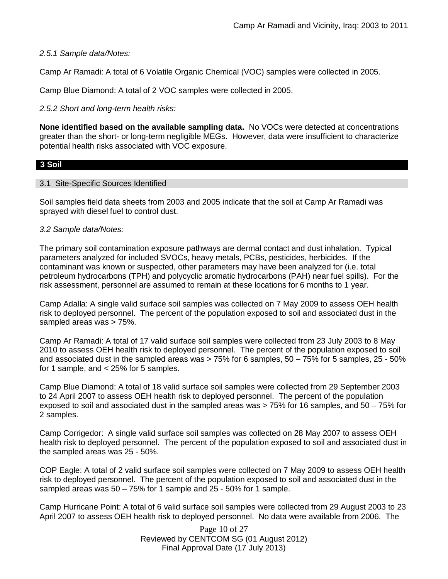## *2.5.1 Sample data/Notes:*

Camp Ar Ramadi: A total of 6 Volatile Organic Chemical (VOC) samples were collected in 2005.

Camp Blue Diamond: A total of 2 VOC samples were collected in 2005.

## *2.5.2 Short and long-term health risks:*

**None identified based on the available sampling data.** No VOCs were detected at concentrations greater than the short- or long-term negligible MEGs. However, data were insufficient to characterize potential health risks associated with VOC exposure.

## **3 Soil**

### 3.1 Site-Specific Sources Identified

Soil samples field data sheets from 2003 and 2005 indicate that the soil at Camp Ar Ramadi was sprayed with diesel fuel to control dust.

### *3.2 Sample data/Notes:*

The primary soil contamination exposure pathways are dermal contact and dust inhalation. Typical parameters analyzed for included SVOCs, heavy metals, PCBs, pesticides, herbicides. If the contaminant was known or suspected, other parameters may have been analyzed for (i.e. total petroleum hydrocarbons (TPH) and polycyclic aromatic hydrocarbons (PAH) near fuel spills). For the risk assessment, personnel are assumed to remain at these locations for 6 months to 1 year.

Camp Adalla: A single valid surface soil samples was collected on 7 May 2009 to assess OEH health risk to deployed personnel. The percent of the population exposed to soil and associated dust in the sampled areas was > 75%.

Camp Ar Ramadi: A total of 17 valid surface soil samples were collected from 23 July 2003 to 8 May 2010 to assess OEH health risk to deployed personnel. The percent of the population exposed to soil and associated dust in the sampled areas was  $> 75\%$  for 6 samples,  $50 - 75\%$  for 5 samples,  $25 - 50\%$ for 1 sample, and < 25% for 5 samples.

Camp Blue Diamond: A total of 18 valid surface soil samples were collected from 29 September 2003 to 24 April 2007 to assess OEH health risk to deployed personnel. The percent of the population exposed to soil and associated dust in the sampled areas was > 75% for 16 samples, and 50 – 75% for 2 samples.

Camp Corrigedor: A single valid surface soil samples was collected on 28 May 2007 to assess OEH health risk to deployed personnel. The percent of the population exposed to soil and associated dust in the sampled areas was 25 - 50%.

COP Eagle: A total of 2 valid surface soil samples were collected on 7 May 2009 to assess OEH health risk to deployed personnel. The percent of the population exposed to soil and associated dust in the sampled areas was 50 – 75% for 1 sample and 25 - 50% for 1 sample.

Camp Hurricane Point: A total of 6 valid surface soil samples were collected from 29 August 2003 to 23 April 2007 to assess OEH health risk to deployed personnel. No data were available from 2006. The

> Page 10 of 27 Reviewed by CENTCOM SG (01 August 2012) Final Approval Date (17 July 2013)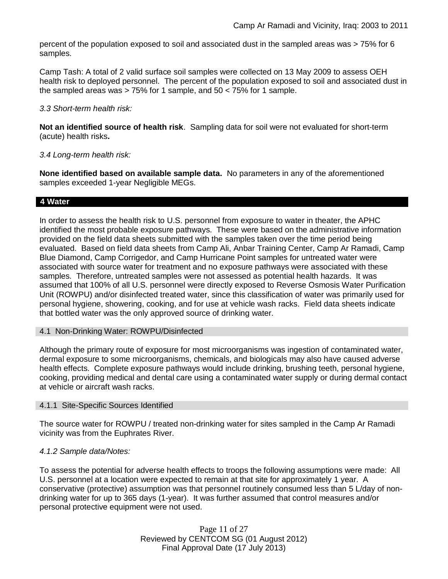percent of the population exposed to soil and associated dust in the sampled areas was > 75% for 6 samples.

Camp Tash: A total of 2 valid surface soil samples were collected on 13 May 2009 to assess OEH health risk to deployed personnel. The percent of the population exposed to soil and associated dust in the sampled areas was > 75% for 1 sample, and 50 < 75% for 1 sample.

#### *3.3 Short-term health risk:*

**Not an identified source of health risk**. Sampling data for soil were not evaluated for short-term (acute) health risks**.**

### *3.4 Long-term health risk:*

**None identified based on available sample data.** No parameters in any of the aforementioned samples exceeded 1-year Negligible MEGs.

### **4 Water**

In order to assess the health risk to U.S. personnel from exposure to water in theater, the APHC identified the most probable exposure pathways. These were based on the administrative information provided on the field data sheets submitted with the samples taken over the time period being evaluated. Based on field data sheets from Camp Ali, Anbar Training Center, Camp Ar Ramadi, Camp Blue Diamond, Camp Corrigedor, and Camp Hurricane Point samples for untreated water were associated with source water for treatment and no exposure pathways were associated with these samples. Therefore, untreated samples were not assessed as potential health hazards. It was assumed that 100% of all U.S. personnel were directly exposed to Reverse Osmosis Water Purification Unit (ROWPU) and/or disinfected treated water, since this classification of water was primarily used for personal hygiene, showering, cooking, and for use at vehicle wash racks. Field data sheets indicate that bottled water was the only approved source of drinking water.

### 4.1 Non-Drinking Water: ROWPU/Disinfected

Although the primary route of exposure for most microorganisms was ingestion of contaminated water, dermal exposure to some microorganisms, chemicals, and biologicals may also have caused adverse health effects. Complete exposure pathways would include drinking, brushing teeth, personal hygiene, cooking, providing medical and dental care using a contaminated water supply or during dermal contact at vehicle or aircraft wash racks.

### 4.1.1 Site-Specific Sources Identified

The source water for ROWPU / treated non-drinking water for sites sampled in the Camp Ar Ramadi vicinity was from the Euphrates River.

### *4.1.2 Sample data/Notes:*

To assess the potential for adverse health effects to troops the following assumptions were made: All U.S. personnel at a location were expected to remain at that site for approximately 1 year. A conservative (protective) assumption was that personnel routinely consumed less than 5 L/day of nondrinking water for up to 365 days (1-year). It was further assumed that control measures and/or personal protective equipment were not used.

> Page 11 of 27 Reviewed by CENTCOM SG (01 August 2012) Final Approval Date (17 July 2013)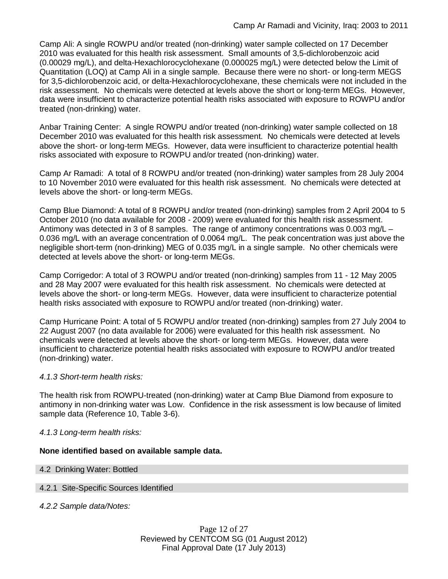Camp Ali: A single ROWPU and/or treated (non-drinking) water sample collected on 17 December 2010 was evaluated for this health risk assessment. Small amounts of 3,5-dichlorobenzoic acid (0.00029 mg/L), and delta-Hexachlorocyclohexane (0.000025 mg/L) were detected below the Limit of Quantitation (LOQ) at Camp Ali in a single sample. Because there were no short- or long-term MEGS for 3,5-dichlorobenzoic acid, or delta-Hexachlorocyclohexane, these chemicals were not included in the risk assessment. No chemicals were detected at levels above the short or long-term MEGs. However, data were insufficient to characterize potential health risks associated with exposure to ROWPU and/or treated (non-drinking) water.

Anbar Training Center: A single ROWPU and/or treated (non-drinking) water sample collected on 18 December 2010 was evaluated for this health risk assessment. No chemicals were detected at levels above the short- or long-term MEGs. However, data were insufficient to characterize potential health risks associated with exposure to ROWPU and/or treated (non-drinking) water.

Camp Ar Ramadi: A total of 8 ROWPU and/or treated (non-drinking) water samples from 28 July 2004 to 10 November 2010 were evaluated for this health risk assessment. No chemicals were detected at levels above the short- or long-term MEGs.

Camp Blue Diamond: A total of 8 ROWPU and/or treated (non-drinking) samples from 2 April 2004 to 5 October 2010 (no data available for 2008 - 2009) were evaluated for this health risk assessment. Antimony was detected in 3 of 8 samples. The range of antimony concentrations was 0.003 mg/L – 0.036 mg/L with an average concentration of 0.0064 mg/L. The peak concentration was just above the negligible short-term (non-drinking) MEG of 0.035 mg/L in a single sample. No other chemicals were detected at levels above the short- or long-term MEGs.

Camp Corrigedor: A total of 3 ROWPU and/or treated (non-drinking) samples from 11 - 12 May 2005 and 28 May 2007 were evaluated for this health risk assessment. No chemicals were detected at levels above the short- or long-term MEGs. However, data were insufficient to characterize potential health risks associated with exposure to ROWPU and/or treated (non-drinking) water.

Camp Hurricane Point: A total of 5 ROWPU and/or treated (non-drinking) samples from 27 July 2004 to 22 August 2007 (no data available for 2006) were evaluated for this health risk assessment. No chemicals were detected at levels above the short- or long-term MEGs. However, data were insufficient to characterize potential health risks associated with exposure to ROWPU and/or treated (non-drinking) water.

# *4.1.3 Short-term health risks:*

The health risk from ROWPU-treated (non-drinking) water at Camp Blue Diamond from exposure to antimony in non-drinking water was Low. Confidence in the risk assessment is low because of limited sample data (Reference 10, Table 3-6).

### *4.1.3 Long-term health risks:*

### **None identified based on available sample data.**

### 4.2 Drinking Water: Bottled

### 4.2.1 Site-Specific Sources Identified

*4.2.2 Sample data/Notes:*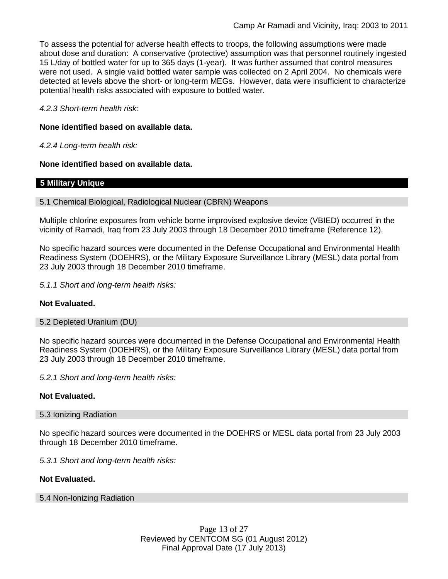To assess the potential for adverse health effects to troops, the following assumptions were made about dose and duration: A conservative (protective) assumption was that personnel routinely ingested 15 L/day of bottled water for up to 365 days (1-year). It was further assumed that control measures were not used. A single valid bottled water sample was collected on 2 April 2004. No chemicals were detected at levels above the short- or long-term MEGs. However, data were insufficient to characterize potential health risks associated with exposure to bottled water.

*4.2.3 Short-term health risk:*

### **None identified based on available data.**

*4.2.4 Long-term health risk:*

**None identified based on available data.**

### **5 Military Unique**

#### 5.1 Chemical Biological, Radiological Nuclear (CBRN) Weapons

Multiple chlorine exposures from vehicle borne improvised explosive device (VBIED) occurred in the vicinity of Ramadi, Iraq from 23 July 2003 through 18 December 2010 timeframe (Reference 12).

No specific hazard sources were documented in the Defense Occupational and Environmental Health Readiness System (DOEHRS), or the Military Exposure Surveillance Library (MESL) data portal from 23 July 2003 through 18 December 2010 timeframe.

*5.1.1 Short and long-term health risks:*

### **Not Evaluated.**

#### 5.2 Depleted Uranium (DU)

No specific hazard sources were documented in the Defense Occupational and Environmental Health Readiness System (DOEHRS), or the Military Exposure Surveillance Library (MESL) data portal from 23 July 2003 through 18 December 2010 timeframe.

*5.2.1 Short and long-term health risks:*

### **Not Evaluated.**

#### 5.3 Ionizing Radiation

No specific hazard sources were documented in the DOEHRS or MESL data portal from 23 July 2003 through 18 December 2010 timeframe.

*5.3.1 Short and long-term health risks:*

#### **Not Evaluated.**

#### 5.4 Non-Ionizing Radiation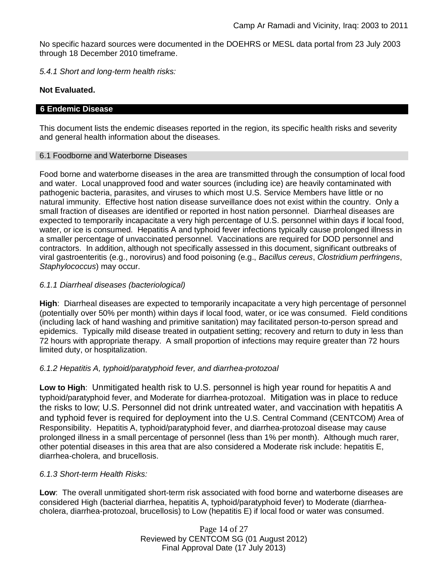No specific hazard sources were documented in the DOEHRS or MESL data portal from 23 July 2003 through 18 December 2010 timeframe.

*5.4.1 Short and long-term health risks:*

### **Not Evaluated.**

#### **6 Endemic Disease**

This document lists the endemic diseases reported in the region, its specific health risks and severity and general health information about the diseases.

#### 6.1 Foodborne and Waterborne Diseases

Food borne and waterborne diseases in the area are transmitted through the consumption of local food and water. Local unapproved food and water sources (including ice) are heavily contaminated with pathogenic bacteria, parasites, and viruses to which most U.S. Service Members have little or no natural immunity. Effective host nation disease surveillance does not exist within the country. Only a small fraction of diseases are identified or reported in host nation personnel. Diarrheal diseases are expected to temporarily incapacitate a very high percentage of U.S. personnel within days if local food, water, or ice is consumed. Hepatitis A and typhoid fever infections typically cause prolonged illness in a smaller percentage of unvaccinated personnel. Vaccinations are required for DOD personnel and contractors. In addition, although not specifically assessed in this document, significant outbreaks of viral gastroenteritis (e.g., norovirus) and food poisoning (e.g., *Bacillus cereus*, *Clostridium perfringens*, *Staphylococcus*) may occur.

### *6.1.1 Diarrheal diseases (bacteriological)*

**High**: Diarrheal diseases are expected to temporarily incapacitate a very high percentage of personnel (potentially over 50% per month) within days if local food, water, or ice was consumed. Field conditions (including lack of hand washing and primitive sanitation) may facilitated person-to-person spread and epidemics. Typically mild disease treated in outpatient setting; recovery and return to duty in less than 72 hours with appropriate therapy. A small proportion of infections may require greater than 72 hours limited duty, or hospitalization.

### *6.1.2 Hepatitis A, typhoid/paratyphoid fever, and diarrhea-protozoal*

**Low to High**: Unmitigated health risk to U.S. personnel is high year round for hepatitis A and typhoid/paratyphoid fever, and Moderate for diarrhea-protozoal. Mitigation was in place to reduce the risks to low; U.S. Personnel did not drink untreated water, and vaccination with hepatitis A and typhoid fever is required for deployment into the U.S. Central Command (CENTCOM) Area of Responsibility. Hepatitis A, typhoid/paratyphoid fever, and diarrhea-protozoal disease may cause prolonged illness in a small percentage of personnel (less than 1% per month). Although much rarer, other potential diseases in this area that are also considered a Moderate risk include: hepatitis E, diarrhea-cholera, and brucellosis.

# *6.1.3 Short-term Health Risks:*

**Low**: The overall unmitigated short-term risk associated with food borne and waterborne diseases are considered High (bacterial diarrhea, hepatitis A, typhoid/paratyphoid fever) to Moderate (diarrheacholera, diarrhea-protozoal, brucellosis) to Low (hepatitis E) if local food or water was consumed.

> Page 14 of 27 Reviewed by CENTCOM SG (01 August 2012) Final Approval Date (17 July 2013)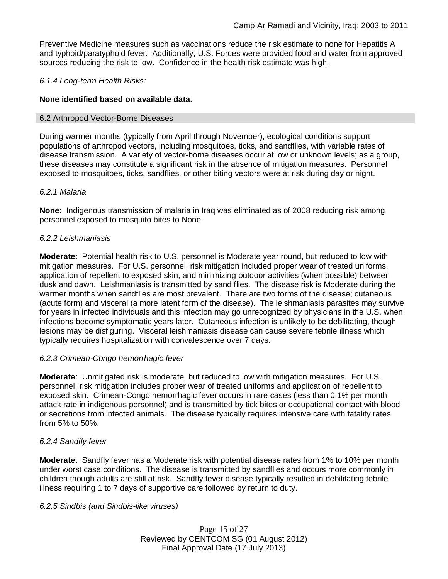Preventive Medicine measures such as vaccinations reduce the risk estimate to none for Hepatitis A and typhoid/paratyphoid fever. Additionally, U.S. Forces were provided food and water from approved sources reducing the risk to low. Confidence in the health risk estimate was high.

## *6.1.4 Long-term Health Risks:*

## **None identified based on available data.**

#### 6.2 Arthropod Vector-Borne Diseases

During warmer months (typically from April through November), ecological conditions support populations of arthropod vectors, including mosquitoes, ticks, and sandflies, with variable rates of disease transmission. A variety of vector-borne diseases occur at low or unknown levels; as a group, these diseases may constitute a significant risk in the absence of mitigation measures. Personnel exposed to mosquitoes, ticks, sandflies, or other biting vectors were at risk during day or night.

### *6.2.1 Malaria*

**None**: Indigenous transmission of malaria in Iraq was eliminated as of 2008 reducing risk among personnel exposed to mosquito bites to None.

### *6.2.2 Leishmaniasis*

**Moderate**: Potential health risk to U.S. personnel is Moderate year round, but reduced to low with mitigation measures. For U.S. personnel, risk mitigation included proper wear of treated uniforms, application of repellent to exposed skin, and minimizing outdoor activities (when possible) between dusk and dawn. Leishmaniasis is transmitted by sand flies. The disease risk is Moderate during the warmer months when sandflies are most prevalent. There are two forms of the disease; cutaneous (acute form) and visceral (a more latent form of the disease). The leishmaniasis parasites may survive for years in infected individuals and this infection may go unrecognized by physicians in the U.S. when infections become symptomatic years later. Cutaneous infection is unlikely to be debilitating, though lesions may be disfiguring. Visceral leishmaniasis disease can cause severe febrile illness which typically requires hospitalization with convalescence over 7 days.

### *6.2.3 Crimean-Congo hemorrhagic fever*

**Moderate**: Unmitigated risk is moderate, but reduced to low with mitigation measures. For U.S. personnel, risk mitigation includes proper wear of treated uniforms and application of repellent to exposed skin. Crimean-Congo hemorrhagic fever occurs in rare cases (less than 0.1% per month attack rate in indigenous personnel) and is transmitted by tick bites or occupational contact with blood or secretions from infected animals. The disease typically requires intensive care with fatality rates from 5% to 50%.

### *6.2.4 Sandfly fever*

**Moderate**: Sandfly fever has a Moderate risk with potential disease rates from 1% to 10% per month under worst case conditions. The disease is transmitted by sandflies and occurs more commonly in children though adults are still at risk. Sandfly fever disease typically resulted in debilitating febrile illness requiring 1 to 7 days of supportive care followed by return to duty.

#### *6.2.5 Sindbis (and Sindbis-like viruses)*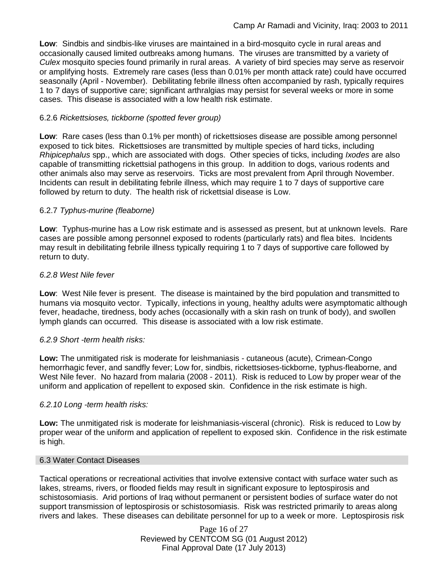**Low**: Sindbis and sindbis-like viruses are maintained in a bird-mosquito cycle in rural areas and occasionally caused limited outbreaks among humans. The viruses are transmitted by a variety of *Culex* mosquito species found primarily in rural areas. A variety of bird species may serve as reservoir or amplifying hosts. Extremely rare cases (less than 0.01% per month attack rate) could have occurred seasonally (April - November). Debilitating febrile illness often accompanied by rash, typically requires 1 to 7 days of supportive care; significant arthralgias may persist for several weeks or more in some cases. This disease is associated with a low health risk estimate.

## 6.2.6 *Rickettsioses, tickborne (spotted fever group)*

**Low**: Rare cases (less than 0.1% per month) of rickettsioses disease are possible among personnel exposed to tick bites. Rickettsioses are transmitted by multiple species of hard ticks, including *Rhipicephalus* spp., which are associated with dogs. Other species of ticks, including *Ixodes* are also capable of transmitting rickettsial pathogens in this group. In addition to dogs, various rodents and other animals also may serve as reservoirs. Ticks are most prevalent from April through November. Incidents can result in debilitating febrile illness, which may require 1 to 7 days of supportive care followed by return to duty. The health risk of rickettsial disease is Low.

### 6.2.7 *Typhus-murine (fleaborne)*

**Low**: Typhus-murine has a Low risk estimate and is assessed as present, but at unknown levels. Rare cases are possible among personnel exposed to rodents (particularly rats) and flea bites. Incidents may result in debilitating febrile illness typically requiring 1 to 7 days of supportive care followed by return to duty.

### *6.2.8 West Nile fever*

**Low**: West Nile fever is present. The disease is maintained by the bird population and transmitted to humans via mosquito vector. Typically, infections in young, healthy adults were asymptomatic although fever, headache, tiredness, body aches (occasionally with a skin rash on trunk of body), and swollen lymph glands can occurred. This disease is associated with a low risk estimate.

### *6.2.9 Short -term health risks:*

**Low:** The unmitigated risk is moderate for leishmaniasis - cutaneous (acute), Crimean-Congo hemorrhagic fever, and sandfly fever; Low for, sindbis, rickettsioses-tickborne*,* typhus-fleaborne, and West Nile fever. No hazard from malaria (2008 - 2011). Risk is reduced to Low by proper wear of the uniform and application of repellent to exposed skin. Confidence in the risk estimate is high.

### *6.2.10 Long -term health risks:*

**Low:** The unmitigated risk is moderate for leishmaniasis-visceral (chronic). Risk is reduced to Low by proper wear of the uniform and application of repellent to exposed skin. Confidence in the risk estimate is high.

#### 6.3 Water Contact Diseases

Tactical operations or recreational activities that involve extensive contact with surface water such as lakes, streams, rivers, or flooded fields may result in significant exposure to leptospirosis and schistosomiasis. Arid portions of Iraq without permanent or persistent bodies of surface water do not support transmission of leptospirosis or schistosomiasis. Risk was restricted primarily to areas along rivers and lakes. These diseases can debilitate personnel for up to a week or more. Leptospirosis risk

> Page 16 of 27 Reviewed by CENTCOM SG (01 August 2012) Final Approval Date (17 July 2013)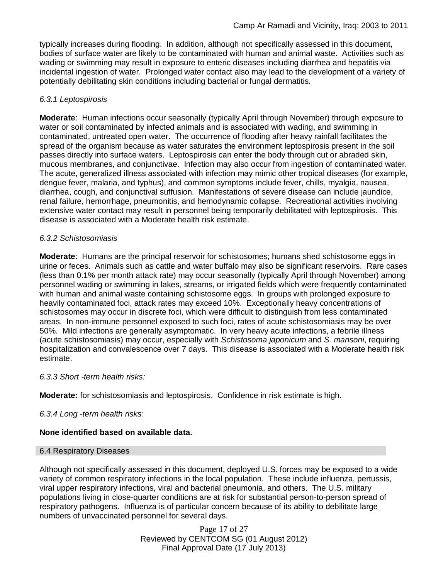typically increases during flooding. In addition, although not specifically assessed in this document, bodies of surface water are likely to be contaminated with human and animal waste. Activities such as wading or swimming may result in exposure to enteric diseases including diarrhea and hepatitis via incidental ingestion of water. Prolonged water contact also may lead to the development of a variety of potentially debilitating skin conditions including bacterial or fungal dermatitis.

## *6.3.1 Leptospirosis*

**Moderate**: Human infections occur seasonally (typically April through November) through exposure to water or soil contaminated by infected animals and is associated with wading, and swimming in contaminated, untreated open water. The occurrence of flooding after heavy rainfall facilitates the spread of the organism because as water saturates the environment leptospirosis present in the soil passes directly into surface waters. Leptospirosis can enter the body through cut or abraded skin, mucous membranes, and conjunctivae. Infection may also occur from ingestion of contaminated water. The acute, generalized illness associated with infection may mimic other tropical diseases (for example, dengue fever, malaria, and typhus), and common symptoms include fever, chills, myalgia, nausea, diarrhea, cough, and conjunctival suffusion. Manifestations of severe disease can include jaundice, renal failure, hemorrhage, pneumonitis, and hemodynamic collapse. Recreational activities involving extensive water contact may result in personnel being temporarily debilitated with leptospirosis. This disease is associated with a Moderate health risk estimate.

### *6.3.2 Schistosomiasis*

**Moderate**: Humans are the principal reservoir for schistosomes; humans shed schistosome eggs in urine or feces. Animals such as cattle and water buffalo may also be significant reservoirs. Rare cases (less than 0.1% per month attack rate) may occur seasonally (typically April through November) among personnel wading or swimming in lakes, streams, or irrigated fields which were frequently contaminated with human and animal waste containing schistosome eggs. In groups with prolonged exposure to heavily contaminated foci, attack rates may exceed 10%. Exceptionally heavy concentrations of schistosomes may occur in discrete foci, which were difficult to distinguish from less contaminated areas. In non-immune personnel exposed to such foci, rates of acute schistosomiasis may be over 50%. Mild infections are generally asymptomatic. In very heavy acute infections, a febrile illness (acute schistosomiasis) may occur, especially with *Schistosoma japonicum* and *S. mansoni*, requiring hospitalization and convalescence over 7 days. This disease is associated with a Moderate health risk estimate.

### *6.3.3 Short -term health risks:*

**Moderate:** for schistosomiasis and leptospirosis. Confidence in risk estimate is high.

### *6.3.4 Long -term health risks:*

### **None identified based on available data.**

### 6.4 Respiratory Diseases

Although not specifically assessed in this document, deployed U.S. forces may be exposed to a wide variety of common respiratory infections in the local population. These include influenza, pertussis, viral upper respiratory infections, viral and bacterial pneumonia, and others. The U.S. military populations living in close-quarter conditions are at risk for substantial person-to-person spread of respiratory pathogens. Influenza is of particular concern because of its ability to debilitate large numbers of unvaccinated personnel for several days.

> Page 17 of 27 Reviewed by CENTCOM SG (01 August 2012) Final Approval Date (17 July 2013)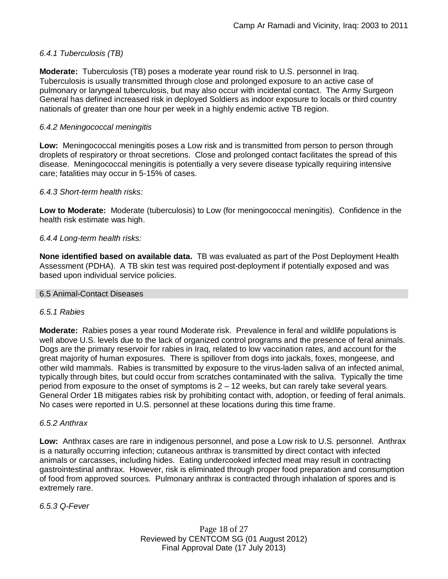## *6.4.1 Tuberculosis (TB)*

**Moderate:** Tuberculosis (TB) poses a moderate year round risk to U.S. personnel in Iraq. Tuberculosis is usually transmitted through close and prolonged exposure to an active case of pulmonary or laryngeal tuberculosis, but may also occur with incidental contact. The Army Surgeon General has defined increased risk in deployed Soldiers as indoor exposure to locals or third country nationals of greater than one hour per week in a highly endemic active TB region.

### *6.4.2 Meningococcal meningitis*

**Low:** Meningococcal meningitis poses a Low risk and is transmitted from person to person through droplets of respiratory or throat secretions. Close and prolonged contact facilitates the spread of this disease. Meningococcal meningitis is potentially a very severe disease typically requiring intensive care; fatalities may occur in 5-15% of cases.

#### *6.4.3 Short-term health risks:*

**Low to Moderate:** Moderate (tuberculosis) to Low (for meningococcal meningitis). Confidence in the health risk estimate was high.

#### *6.4.4 Long-term health risks:*

**None identified based on available data.** TB was evaluated as part of the Post Deployment Health Assessment (PDHA). A TB skin test was required post-deployment if potentially exposed and was based upon individual service policies.

#### 6.5 Animal-Contact Diseases

#### *6.5.1 Rabies*

**Moderate:** Rabies poses a year round Moderate risk. Prevalence in feral and wildlife populations is well above U.S. levels due to the lack of organized control programs and the presence of feral animals. Dogs are the primary reservoir for rabies in Iraq, related to low vaccination rates, and account for the great majority of human exposures. There is spillover from dogs into jackals, foxes, mongeese, and other wild mammals. Rabies is transmitted by exposure to the virus-laden saliva of an infected animal, typically through bites, but could occur from scratches contaminated with the saliva. Typically the time period from exposure to the onset of symptoms is 2 – 12 weeks, but can rarely take several years. General Order 1B mitigates rabies risk by prohibiting contact with, adoption, or feeding of feral animals. No cases were reported in U.S. personnel at these locations during this time frame.

#### *6.5.2 Anthrax*

**Low:** Anthrax cases are rare in indigenous personnel, and pose a Low risk to U.S. personnel. Anthrax is a naturally occurring infection; cutaneous anthrax is transmitted by direct contact with infected animals or carcasses, including hides. Eating undercooked infected meat may result in contracting gastrointestinal anthrax. However, risk is eliminated through proper food preparation and consumption of food from approved sources. Pulmonary anthrax is contracted through inhalation of spores and is extremely rare.

*6.5.3 Q-Fever*

Page 18 of 27 Reviewed by CENTCOM SG (01 August 2012) Final Approval Date (17 July 2013)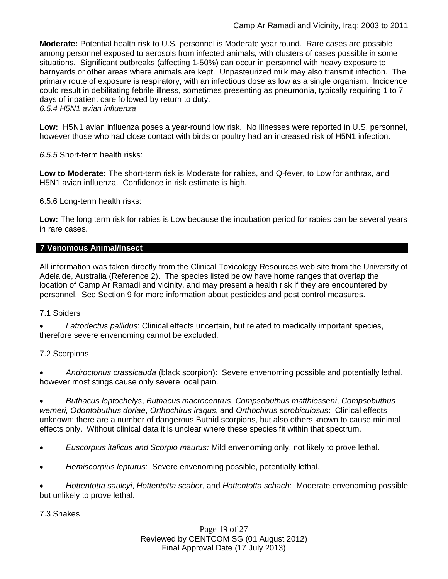**Moderate:** Potential health risk to U.S. personnel is Moderate year round. Rare cases are possible among personnel exposed to aerosols from infected animals, with clusters of cases possible in some situations. Significant outbreaks (affecting 1-50%) can occur in personnel with heavy exposure to barnyards or other areas where animals are kept. Unpasteurized milk may also transmit infection. The primary route of exposure is respiratory, with an infectious dose as low as a single organism. Incidence could result in debilitating febrile illness, sometimes presenting as pneumonia, typically requiring 1 to 7 days of inpatient care followed by return to duty.

*6.5.4 H5N1 avian influenza*

**Low:** H5N1 avian influenza poses a year-round low risk. No illnesses were reported in U.S. personnel, however those who had close contact with birds or poultry had an increased risk of H5N1 infection.

*6.5.5* Short-term health risks:

**Low to Moderate:** The short-term risk is Moderate for rabies, and Q-fever, to Low for anthrax, and H5N1 avian influenza. Confidence in risk estimate is high.

6.5.6 Long-term health risks:

**Low:** The long term risk for rabies is Low because the incubation period for rabies can be several years in rare cases.

#### **7 Venomous Animal/Insect**

All information was taken directly from the Clinical Toxicology Resources web site from the University of Adelaide, Australia (Reference 2). The species listed below have home ranges that overlap the location of Camp Ar Ramadi and vicinity, and may present a health risk if they are encountered by personnel. See Section 9 for more information about pesticides and pest control measures.

#### 7.1 Spiders

 *Latrodectus pallidus*: Clinical effects uncertain, but related to medically important species, therefore severe envenoming cannot be excluded.

### 7.2 Scorpions

 *Androctonus crassicauda* (black scorpion): Severe envenoming possible and potentially lethal, however most stings cause only severe local pain.

 *Buthacus leptochelys*, *Buthacus macrocentrus*, *Compsobuthus matthiesseni*, *Compsobuthus werneri, Odontobuthus doriae*, *Orthochirus iraqus*, and *Orthochirus scrobiculosus*: Clinical effects unknown; there are a number of dangerous Buthid scorpions, but also others known to cause minimal effects only. Without clinical data it is unclear where these species fit within that spectrum.

- *Euscorpius italicus and Scorpio maurus:* Mild envenoming only, not likely to prove lethal.
- *Hemiscorpius lepturus*: Severe envenoming possible, potentially lethal.

 *Hottentotta saulcyi*, *Hottentotta scaber*, and *Hottentotta schach*: Moderate envenoming possible but unlikely to prove lethal.

7.3 Snakes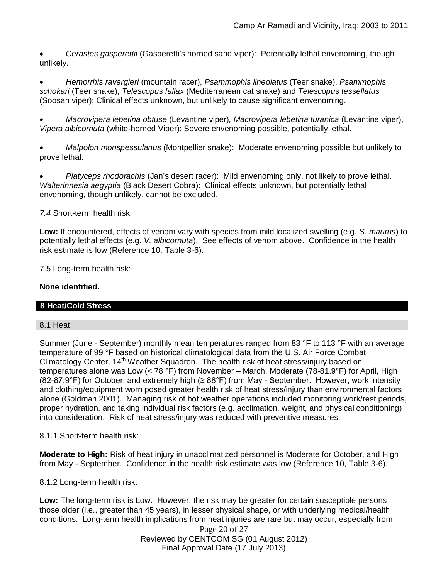*Cerastes gasperettii* (Gasperetti's horned sand viper): Potentially lethal envenoming, though unlikely.

 *Hemorrhis ravergieri* (mountain racer), *Psammophis lineolatus* (Teer snake), *Psammophis schokari* (Teer snake), *Telescopus fallax* (Mediterranean cat snake) and *Telescopus tessellatus* (Soosan viper): Clinical effects unknown, but unlikely to cause significant envenoming.

 *Macrovipera lebetina obtuse* (Levantine viper)*, Macrovipera lebetina turanica* (Levantine viper), *Vipera albicornuta* (white-horned Viper): Severe envenoming possible, potentially lethal.

 *Malpolon monspessulanus* (Montpellier snake): Moderate envenoming possible but unlikely to prove lethal.

 *Platyceps rhodorachis* (Jan's desert racer): Mild envenoming only, not likely to prove lethal. *Walterinnesia aegyptia* (Black Desert Cobra): Clinical effects unknown, but potentially lethal envenoming, though unlikely, cannot be excluded.

*7.4* Short-term health risk:

**Low:** If encountered, effects of venom vary with species from mild localized swelling (e.g. *S. maurus*) to potentially lethal effects (e.g. *V. albicornuta*). See effects of venom above. Confidence in the health risk estimate is low (Reference 10, Table 3-6).

7.5 Long-term health risk:

#### **None identified.**

### **8 Heat/Cold Stress**

#### 8.1 Heat

Summer (June - September) monthly mean temperatures ranged from 83 °F to 113 °F with an average temperature of 99 °F based on historical climatological data from the U.S. Air Force Combat Climatology Center, 14<sup>th</sup> Weather Squadron. The health risk of heat stress/injury based on temperatures alone was Low (< 78 °F) from November – March, Moderate (78-81.9°F) for April, High (82-87.9°F) for October, and extremely high ( $\geq$  88°F) from May - September. However, work intensity and clothing/equipment worn posed greater health risk of heat stress/injury than environmental factors alone (Goldman 2001). Managing risk of hot weather operations included monitoring work/rest periods, proper hydration, and taking individual risk factors (e.g. acclimation, weight, and physical conditioning) into consideration. Risk of heat stress/injury was reduced with preventive measures.

8.1.1 Short-term health risk:

**Moderate to High:** Risk of heat injury in unacclimatized personnel is Moderate for October, and High from May - September. Confidence in the health risk estimate was low (Reference 10, Table 3-6).

8.1.2 Long-term health risk:

**Low:** The long-term risk is Low. However, the risk may be greater for certain susceptible persons– those older (i.e., greater than 45 years), in lesser physical shape, or with underlying medical/health conditions. Long-term health implications from heat injuries are rare but may occur, especially from

Page 20 of 27 Reviewed by CENTCOM SG (01 August 2012) Final Approval Date (17 July 2013)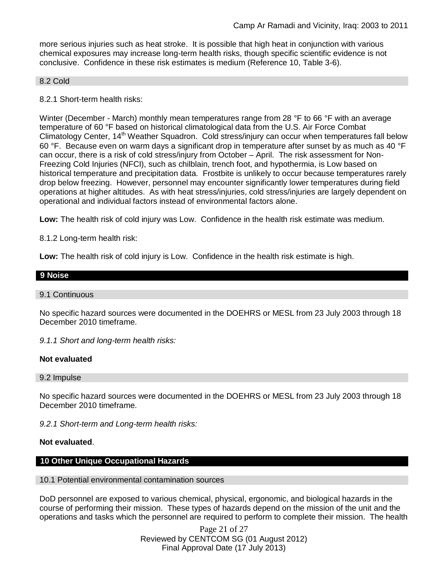more serious injuries such as heat stroke. It is possible that high heat in conjunction with various chemical exposures may increase long-term health risks, though specific scientific evidence is not conclusive. Confidence in these risk estimates is medium (Reference 10, Table 3-6).

#### 8.2 Cold

8.2.1 Short-term health risks:

Winter (December - March) monthly mean temperatures range from 28 °F to 66 °F with an average temperature of 60 °F based on historical climatological data from the U.S. Air Force Combat Climatology Center, 14<sup>th</sup> Weather Squadron. Cold stress/injury can occur when temperatures fall below 60 °F. Because even on warm days a significant drop in temperature after sunset by as much as 40 °F can occur, there is a risk of cold stress/injury from October – April. The risk assessment for Non-Freezing Cold Injuries (NFCI), such as chilblain, trench foot, and hypothermia, is Low based on historical temperature and precipitation data. Frostbite is unlikely to occur because temperatures rarely drop below freezing. However, personnel may encounter significantly lower temperatures during field operations at higher altitudes. As with heat stress/injuries, cold stress/injuries are largely dependent on operational and individual factors instead of environmental factors alone.

**Low:** The health risk of cold injury was Low. Confidence in the health risk estimate was medium.

8.1.2 Long-term health risk:

**Low:** The health risk of cold injury is Low. Confidence in the health risk estimate is high.

#### **9 Noise**

#### 9.1 Continuous

No specific hazard sources were documented in the DOEHRS or MESL from 23 July 2003 through 18 December 2010 timeframe.

*9.1.1 Short and long-term health risks:*

#### **Not evaluated**

9.2 Impulse

No specific hazard sources were documented in the DOEHRS or MESL from 23 July 2003 through 18 December 2010 timeframe.

*9.2.1 Short-term and Long-term health risks:*

#### **Not evaluated**.

# **10 Other Unique Occupational Hazards**

### 10.1 Potential environmental contamination sources

DoD personnel are exposed to various chemical, physical, ergonomic, and biological hazards in the course of performing their mission. These types of hazards depend on the mission of the unit and the operations and tasks which the personnel are required to perform to complete their mission. The health

> Page 21 of 27 Reviewed by CENTCOM SG (01 August 2012) Final Approval Date (17 July 2013)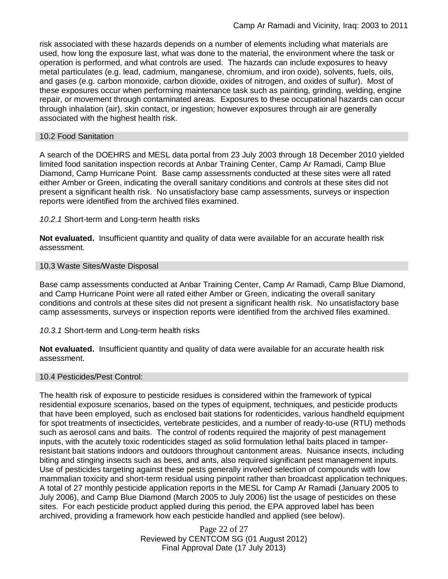risk associated with these hazards depends on a number of elements including what materials are used, how long the exposure last, what was done to the material, the environment where the task or operation is performed, and what controls are used. The hazards can include exposures to heavy metal particulates (e.g. lead, cadmium, manganese, chromium, and iron oxide), solvents, fuels, oils, and gases (e.g. carbon monoxide, carbon dioxide, oxides of nitrogen, and oxides of sulfur). Most of these exposures occur when performing maintenance task such as painting, grinding, welding, engine repair, or movement through contaminated areas. Exposures to these occupational hazards can occur through inhalation (air), skin contact, or ingestion; however exposures through air are generally associated with the highest health risk.

### 10.2 Food Sanitation

A search of the DOEHRS and MESL data portal from 23 July 2003 through 18 December 2010 yielded limited food sanitation inspection records at Anbar Training Center, Camp Ar Ramadi, Camp Blue Diamond, Camp Hurricane Point. Base camp assessments conducted at these sites were all rated either Amber or Green, indicating the overall sanitary conditions and controls at these sites did not present a significant health risk. No unsatisfactory base camp assessments, surveys or inspection reports were identified from the archived files examined.

#### *10.2.1* Short-term and Long-term health risks

**Not evaluated.** Insufficient quantity and quality of data were available for an accurate health risk assessment.

#### 10.3 Waste Sites/Waste Disposal

Base camp assessments conducted at Anbar Training Center, Camp Ar Ramadi, Camp Blue Diamond, and Camp Hurricane Point were all rated either Amber or Green, indicating the overall sanitary conditions and controls at these sites did not present a significant health risk. No unsatisfactory base camp assessments, surveys or inspection reports were identified from the archived files examined.

#### *10.3.1* Short-term and Long-term health risks

**Not evaluated.** Insufficient quantity and quality of data were available for an accurate health risk assessment.

#### 10.4 Pesticides/Pest Control:

The health risk of exposure to pesticide residues is considered within the framework of typical residential exposure scenarios, based on the types of equipment, techniques, and pesticide products that have been employed, such as enclosed bait stations for rodenticides, various handheld equipment for spot treatments of insecticides, vertebrate pesticides, and a number of ready-to-use (RTU) methods such as aerosol cans and baits. The control of rodents required the majority of pest management inputs, with the acutely toxic rodenticides staged as solid formulation lethal baits placed in tamperresistant bait stations indoors and outdoors throughout cantonment areas. Nuisance insects, including biting and stinging insects such as bees, and ants, also required significant pest management inputs. Use of pesticides targeting against these pests generally involved selection of compounds with low mammalian toxicity and short-term residual using pinpoint rather than broadcast application techniques. A total of 27 monthly pesticide application reports in the MESL for Camp Ar Ramadi (January 2005 to July 2006), and Camp Blue Diamond (March 2005 to July 2006) list the usage of pesticides on these sites. For each pesticide product applied during this period, the EPA approved label has been archived, providing a framework how each pesticide handled and applied (see below).

> Page 22 of 27 Reviewed by CENTCOM SG (01 August 2012) Final Approval Date (17 July 2013)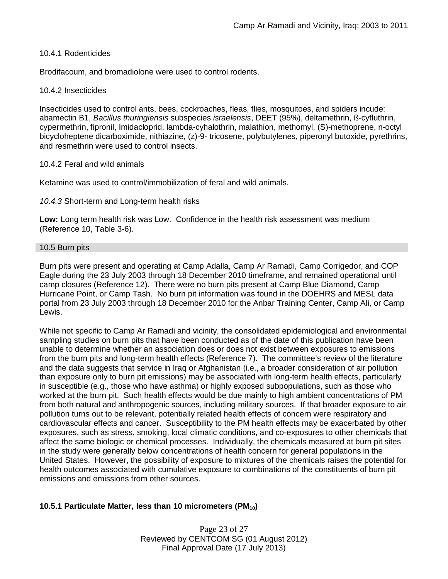#### 10.4.1 Rodenticides

Brodifacoum, and bromadiolone were used to control rodents.

#### 10.4.2 Insecticides

Insecticides used to control ants, bees, cockroaches, fleas, flies, mosquitoes, and spiders incude: abamectin B1, *Bacillus thuringiensis* subspecies *israelensis*, DEET (95%), deltamethrin, ß-cyfluthrin, cypermethrin, fipronil, Imidacloprid, lambda-cyhalothrin, malathion, methomyl, (S)-methoprene, n-octyl bicycloheptene dicarboximide, nithiazine, (z)-9- tricosene, polybutylenes, piperonyl butoxide, pyrethrins, and resmethrin were used to control insects.

#### 10.4.2 Feral and wild animals

Ketamine was used to control/immobilization of feral and wild animals.

*10.4.3* Short-term and Long-term health risks

**Low:** Long term health risk was Low. Confidence in the health risk assessment was medium (Reference 10, Table 3-6).

#### 10.5 Burn pits

Burn pits were present and operating at Camp Adalla, Camp Ar Ramadi, Camp Corrigedor, and COP Eagle during the 23 July 2003 through 18 December 2010 timeframe, and remained operational until camp closures (Reference 12). There were no burn pits present at Camp Blue Diamond, Camp Hurricane Point, or Camp Tash. No burn pit information was found in the DOEHRS and MESL data portal from 23 July 2003 through 18 December 2010 for the Anbar Training Center, Camp Ali, or Camp Lewis.

While not specific to Camp Ar Ramadi and vicinity, the consolidated epidemiological and environmental sampling studies on burn pits that have been conducted as of the date of this publication have been unable to determine whether an association does or does not exist between exposures to emissions from the burn pits and long-term health effects (Reference 7). The committee's review of the literature and the data suggests that service in Iraq or Afghanistan (i.e., a broader consideration of air pollution than exposure only to burn pit emissions) may be associated with long-term health effects, particularly in susceptible (e.g., those who have asthma) or highly exposed subpopulations, such as those who worked at the burn pit. Such health effects would be due mainly to high ambient concentrations of PM from both natural and anthropogenic sources, including military sources. If that broader exposure to air pollution turns out to be relevant, potentially related health effects of concern were respiratory and cardiovascular effects and cancer. Susceptibility to the PM health effects may be exacerbated by other exposures, such as stress, smoking, local climatic conditions, and co-exposures to other chemicals that affect the same biologic or chemical processes. Individually, the chemicals measured at burn pit sites in the study were generally below concentrations of health concern for general populations in the United States. However, the possibility of exposure to mixtures of the chemicals raises the potential for health outcomes associated with cumulative exposure to combinations of the constituents of burn pit emissions and emissions from other sources.

### **10.5.1 Particulate Matter, less than 10 micrometers (PM10)**

Page 23 of 27 Reviewed by CENTCOM SG (01 August 2012) Final Approval Date (17 July 2013)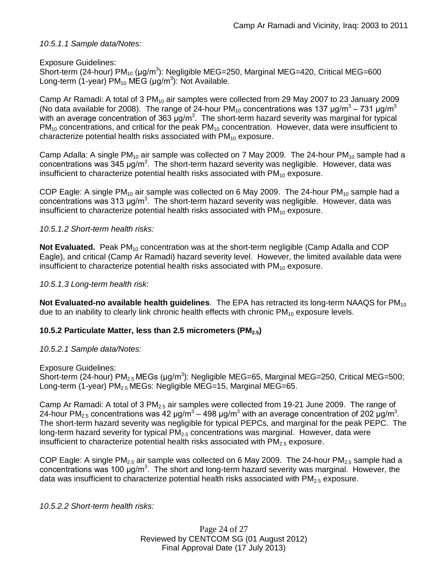*10.5.1.1 Sample data/Notes:*

Exposure Guidelines: Short-term (24-hour) PM<sub>10</sub> (μg/m<sup>3</sup>): Negligible MEG=250, Marginal MEG=420, Critical MEG=600 Long-term (1-year) PM<sub>10</sub> MEG (μg/m<sup>3</sup>): Not Available.

Camp Ar Ramadi: A total of  $3 \text{ PM}_{10}$  air samples were collected from 29 May 2007 to 23 January 2009 (No data available for 2008). The range of 24-hour PM<sub>10</sub> concentrations was 137  $\mu$ g/m<sup>3</sup> – 731  $\mu$ g/m<sup>3</sup> with an average concentration of 363  $\mu$ g/m<sup>3</sup>. The short-term hazard severity was marginal for typical  $PM_{10}$  concentrations, and critical for the peak  $PM_{10}$  concentration. However, data were insufficient to characterize potential health risks associated with  $PM_{10}$  exposure.

Camp Adalla: A single  $PM_{10}$  air sample was collected on 7 May 2009. The 24-hour  $PM_{10}$  sample had a concentrations was 345  $\mu$ g/m<sup>3</sup>. The short-term hazard severity was negligible. However, data was insufficient to characterize potential health risks associated with  $PM_{10}$  exposure.

COP Eagle: A single  $PM_{10}$  air sample was collected on 6 May 2009. The 24-hour  $PM_{10}$  sample had a concentrations was 313 μg/m<sup>3</sup>. The short-term hazard severity was negligible. However, data was insufficient to characterize potential health risks associated with  $PM_{10}$  exposure.

*10.5.1.2 Short-term health risks:*

**Not Evaluated.** Peak PM<sub>10</sub> concentration was at the short-term negligible (Camp Adalla and COP Eagle), and critical (Camp Ar Ramadi) hazard severity level. However, the limited available data were insufficient to characterize potential health risks associated with  $PM_{10}$  exposure.

## *10.5.1.3 Long-term health risk:*

**Not Evaluated-no available health quidelines**. The EPA has retracted its long-term NAAQS for PM<sub>10</sub> due to an inability to clearly link chronic health effects with chronic  $PM_{10}$  exposure levels.

# **10.5.2 Particulate Matter, less than 2.5 micrometers (PM2.5)**

### *10.5.2.1 Sample data/Notes:*

Exposure Guidelines: Short-term (24-hour) PM<sub>2.5</sub> MEGs (μg/m<sup>3</sup>): Negligible MEG=65, Marginal MEG=250, Critical MEG=500; Long-term (1-year)  $PM<sub>2.5</sub> MEGs$ : Negligible MEG=15, Marginal MEG=65.

Camp Ar Ramadi: A total of 3  $PM<sub>2.5</sub>$  air samples were collected from 19-21 June 2009. The range of 24-hour PM<sub>2.5</sub> concentrations was 42 µg/m<sup>3</sup> – 498 µg/m<sup>3</sup> with an average concentration of 202 µg/m<sup>3</sup>. The short-term hazard severity was negligible for typical PEPCs, and marginal for the peak PEPC. The long-term hazard severity for typical  $PM<sub>2.5</sub>$  concentrations was marginal. However, data were insufficient to characterize potential health risks associated with  $PM_{2.5}$  exposure.

COP Eagle: A single  $PM<sub>2.5</sub>$  air sample was collected on 6 May 2009. The 24-hour  $PM<sub>2.5</sub>$  sample had a concentrations was 100  $\mu$ g/m<sup>3</sup>. The short and long-term hazard severity was marginal. However, the data was insufficient to characterize potential health risks associated with  $PM<sub>2.5</sub>$  exposure.

*10.5.2.2 Short-term health risks:*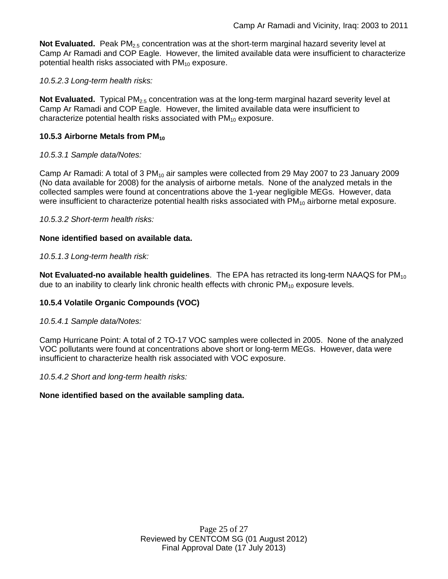Not Evaluated. Peak PM<sub>2.5</sub> concentration was at the short-term marginal hazard severity level at Camp Ar Ramadi and COP Eagle. However, the limited available data were insufficient to characterize potential health risks associated with  $PM_{10}$  exposure.

## *10.5.2.3 Long-term health risks:*

**Not Evaluated.** Typical PM<sub>2.5</sub> concentration was at the long-term marginal hazard severity level at Camp Ar Ramadi and COP Eagle. However, the limited available data were insufficient to characterize potential health risks associated with  $PM_{10}$  exposure.

## **10.5.3 Airborne Metals from PM<sup>10</sup>**

### *10.5.3.1 Sample data/Notes:*

Camp Ar Ramadi: A total of  $3 \text{ PM}_{10}$  air samples were collected from 29 May 2007 to 23 January 2009 (No data available for 2008) for the analysis of airborne metals. None of the analyzed metals in the collected samples were found at concentrations above the 1-year negligible MEGs. However, data were insufficient to characterize potential health risks associated with  $PM_{10}$  airborne metal exposure.

*10.5.3.2 Short-term health risks:*

### **None identified based on available data.**

### *10.5.1.3 Long-term health risk:*

**Not Evaluated-no available health guidelines**. The EPA has retracted its long-term NAAQS for PM<sub>10</sub> due to an inability to clearly link chronic health effects with chronic  $PM_{10}$  exposure levels.

# **10.5.4 Volatile Organic Compounds (VOC)**

### *10.5.4.1 Sample data/Notes:*

Camp Hurricane Point: A total of 2 TO-17 VOC samples were collected in 2005. None of the analyzed VOC pollutants were found at concentrations above short or long-term MEGs. However, data were insufficient to characterize health risk associated with VOC exposure.

*10.5.4.2 Short and long-term health risks:*

### **None identified based on the available sampling data.**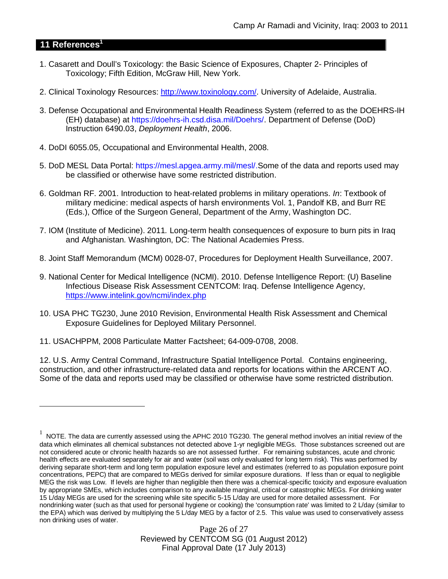## **11 References<sup>1</sup>**

- 1. Casarett and Doull's Toxicology: the Basic Science of Exposures, Chapter 2- Principles of Toxicology; Fifth Edition, McGraw Hill, New York.
- 2. Clinical Toxinology Resources: http://www.toxinology.com/. University of Adelaide, Australia.
- 3. Defense Occupational and Environmental Health Readiness System (referred to as the DOEHRS-IH (EH) database) at https://doehrs-ih.csd.disa.mil/Doehrs/. Department of Defense (DoD) Instruction 6490.03, *Deployment Health*, 2006.
- 4. DoDI 6055.05, Occupational and Environmental Health, 2008.
- 5. DoD MESL Data Portal: https://mesl.apgea.army.mil/mesl/.Some of the data and reports used may be classified or otherwise have some restricted distribution.
- 6. Goldman RF. 2001. Introduction to heat-related problems in military operations. *In*: Textbook of military medicine: medical aspects of harsh environments Vol. 1, Pandolf KB, and Burr RE (Eds.), Office of the Surgeon General, Department of the Army, Washington DC.
- 7. IOM (Institute of Medicine). 2011*.* Long-term health consequences of exposure to burn pits in Iraq and Afghanistan*.* Washington, DC: The National Academies Press.
- 8. Joint Staff Memorandum (MCM) 0028-07, Procedures for Deployment Health Surveillance, 2007.
- 9. National Center for Medical Intelligence (NCMI). 2010. Defense Intelligence Report: (U) Baseline Infectious Disease Risk Assessment CENTCOM: Iraq. Defense Intelligence Agency, https://www.intelink.gov/ncmi/index.php
- 10. USA PHC TG230, June 2010 Revision, Environmental Health Risk Assessment and Chemical Exposure Guidelines for Deployed Military Personnel.
- 11. USACHPPM, 2008 Particulate Matter Factsheet; 64-009-0708, 2008.

12. U.S. Army Central Command, Infrastructure Spatial Intelligence Portal. Contains engineering, construction, and other infrastructure-related data and reports for locations within the ARCENT AO. Some of the data and reports used may be classified or otherwise have some restricted distribution.

 $^1$  NOTE. The data are currently assessed using the APHC 2010 TG230. The general method involves an initial review of the data which eliminates all chemical substances not detected above 1-yr negligible MEGs. Those substances screened out are not considered acute or chronic health hazards so are not assessed further. For remaining substances, acute and chronic health effects are evaluated separately for air and water (soil was only evaluated for long term risk). This was performed by deriving separate short-term and long term population exposure level and estimates (referred to as population exposure point concentrations, PEPC) that are compared to MEGs derived for similar exposure durations. If less than or equal to negligible MEG the risk was Low. If levels are higher than negligible then there was a chemical-specific toxicity and exposure evaluation by appropriate SMEs, which includes comparison to any available marginal, critical or catastrophic MEGs. For drinking water 15 L/day MEGs are used for the screening while site specific 5-15 L/day are used for more detailed assessment. For nondrinking water (such as that used for personal hygiene or cooking) the 'consumption rate' was limited to 2 L/day (similar to the EPA) which was derived by multiplying the 5 L/day MEG by a factor of 2.5. This value was used to conservatively assess non drinking uses of water.